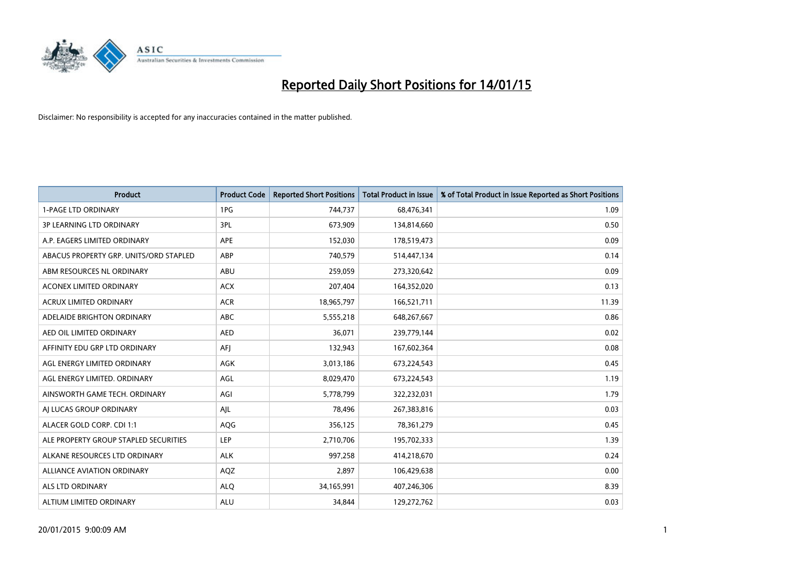

| <b>Product</b>                         | <b>Product Code</b> | <b>Reported Short Positions</b> | <b>Total Product in Issue</b> | % of Total Product in Issue Reported as Short Positions |
|----------------------------------------|---------------------|---------------------------------|-------------------------------|---------------------------------------------------------|
| <b>1-PAGE LTD ORDINARY</b>             | 1PG                 | 744,737                         | 68,476,341                    | 1.09                                                    |
| 3P LEARNING LTD ORDINARY               | 3PL                 | 673,909                         | 134,814,660                   | 0.50                                                    |
| A.P. EAGERS LIMITED ORDINARY           | <b>APE</b>          | 152,030                         | 178,519,473                   | 0.09                                                    |
| ABACUS PROPERTY GRP. UNITS/ORD STAPLED | ABP                 | 740,579                         | 514,447,134                   | 0.14                                                    |
| ABM RESOURCES NL ORDINARY              | ABU                 | 259,059                         | 273,320,642                   | 0.09                                                    |
| <b>ACONEX LIMITED ORDINARY</b>         | <b>ACX</b>          | 207,404                         | 164,352,020                   | 0.13                                                    |
| <b>ACRUX LIMITED ORDINARY</b>          | <b>ACR</b>          | 18,965,797                      | 166,521,711                   | 11.39                                                   |
| ADELAIDE BRIGHTON ORDINARY             | ABC                 | 5,555,218                       | 648,267,667                   | 0.86                                                    |
| AED OIL LIMITED ORDINARY               | <b>AED</b>          | 36,071                          | 239,779,144                   | 0.02                                                    |
| AFFINITY EDU GRP LTD ORDINARY          | AFI                 | 132,943                         | 167,602,364                   | 0.08                                                    |
| AGL ENERGY LIMITED ORDINARY            | AGK                 | 3,013,186                       | 673,224,543                   | 0.45                                                    |
| AGL ENERGY LIMITED. ORDINARY           | AGL                 | 8,029,470                       | 673,224,543                   | 1.19                                                    |
| AINSWORTH GAME TECH. ORDINARY          | AGI                 | 5,778,799                       | 322,232,031                   | 1.79                                                    |
| AI LUCAS GROUP ORDINARY                | AJL                 | 78,496                          | 267,383,816                   | 0.03                                                    |
| ALACER GOLD CORP. CDI 1:1              | AQG                 | 356,125                         | 78,361,279                    | 0.45                                                    |
| ALE PROPERTY GROUP STAPLED SECURITIES  | LEP                 | 2,710,706                       | 195,702,333                   | 1.39                                                    |
| ALKANE RESOURCES LTD ORDINARY          | <b>ALK</b>          | 997,258                         | 414,218,670                   | 0.24                                                    |
| ALLIANCE AVIATION ORDINARY             | AQZ                 | 2,897                           | 106,429,638                   | 0.00                                                    |
| ALS LTD ORDINARY                       | <b>ALO</b>          | 34,165,991                      | 407,246,306                   | 8.39                                                    |
| ALTIUM LIMITED ORDINARY                | <b>ALU</b>          | 34,844                          | 129,272,762                   | 0.03                                                    |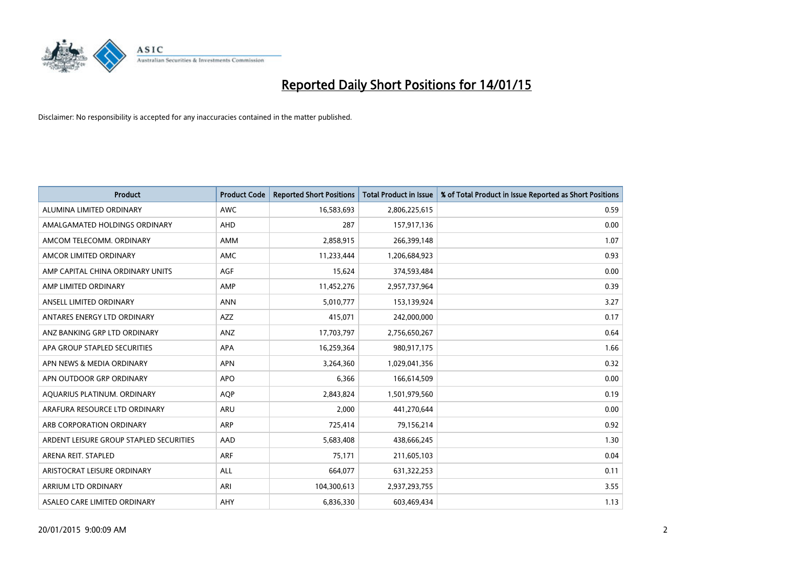

| <b>Product</b>                          | <b>Product Code</b> | <b>Reported Short Positions</b> | <b>Total Product in Issue</b> | % of Total Product in Issue Reported as Short Positions |
|-----------------------------------------|---------------------|---------------------------------|-------------------------------|---------------------------------------------------------|
| ALUMINA LIMITED ORDINARY                | <b>AWC</b>          | 16,583,693                      | 2,806,225,615                 | 0.59                                                    |
| AMALGAMATED HOLDINGS ORDINARY           | <b>AHD</b>          | 287                             | 157,917,136                   | 0.00                                                    |
| AMCOM TELECOMM. ORDINARY                | AMM                 | 2,858,915                       | 266,399,148                   | 1.07                                                    |
| AMCOR LIMITED ORDINARY                  | <b>AMC</b>          | 11,233,444                      | 1,206,684,923                 | 0.93                                                    |
| AMP CAPITAL CHINA ORDINARY UNITS        | AGF                 | 15,624                          | 374,593,484                   | 0.00                                                    |
| AMP LIMITED ORDINARY                    | AMP                 | 11,452,276                      | 2,957,737,964                 | 0.39                                                    |
| ANSELL LIMITED ORDINARY                 | <b>ANN</b>          | 5,010,777                       | 153,139,924                   | 3.27                                                    |
| ANTARES ENERGY LTD ORDINARY             | AZZ                 | 415,071                         | 242,000,000                   | 0.17                                                    |
| ANZ BANKING GRP LTD ORDINARY            | ANZ                 | 17,703,797                      | 2,756,650,267                 | 0.64                                                    |
| APA GROUP STAPLED SECURITIES            | <b>APA</b>          | 16,259,364                      | 980,917,175                   | 1.66                                                    |
| APN NEWS & MEDIA ORDINARY               | <b>APN</b>          | 3,264,360                       | 1,029,041,356                 | 0.32                                                    |
| APN OUTDOOR GRP ORDINARY                | <b>APO</b>          | 6,366                           | 166,614,509                   | 0.00                                                    |
| AQUARIUS PLATINUM. ORDINARY             | <b>AOP</b>          | 2,843,824                       | 1,501,979,560                 | 0.19                                                    |
| ARAFURA RESOURCE LTD ORDINARY           | <b>ARU</b>          | 2,000                           | 441,270,644                   | 0.00                                                    |
| ARB CORPORATION ORDINARY                | <b>ARP</b>          | 725,414                         | 79,156,214                    | 0.92                                                    |
| ARDENT LEISURE GROUP STAPLED SECURITIES | AAD                 | 5,683,408                       | 438,666,245                   | 1.30                                                    |
| ARENA REIT. STAPLED                     | <b>ARF</b>          | 75,171                          | 211,605,103                   | 0.04                                                    |
| ARISTOCRAT LEISURE ORDINARY             | ALL                 | 664,077                         | 631,322,253                   | 0.11                                                    |
| ARRIUM LTD ORDINARY                     | ARI                 | 104,300,613                     | 2,937,293,755                 | 3.55                                                    |
| ASALEO CARE LIMITED ORDINARY            | AHY                 | 6,836,330                       | 603,469,434                   | 1.13                                                    |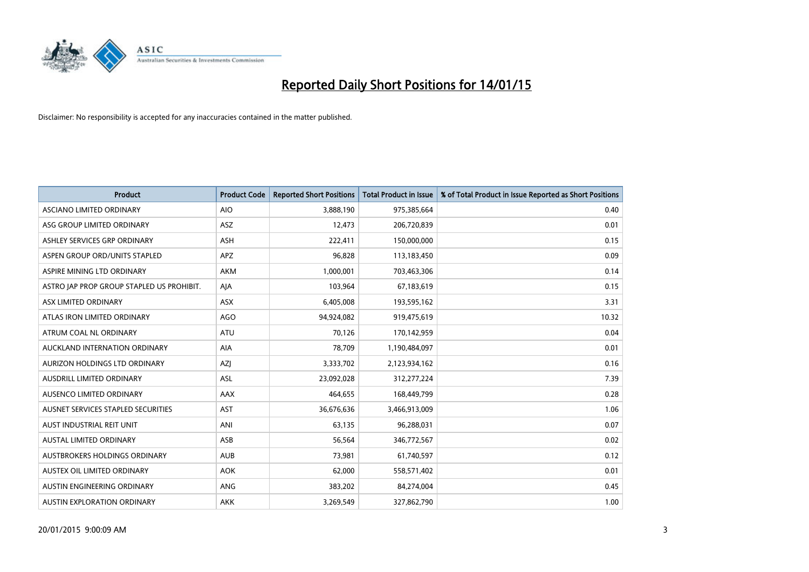

| <b>Product</b>                            | <b>Product Code</b> | <b>Reported Short Positions</b> | <b>Total Product in Issue</b> | % of Total Product in Issue Reported as Short Positions |
|-------------------------------------------|---------------------|---------------------------------|-------------------------------|---------------------------------------------------------|
| ASCIANO LIMITED ORDINARY                  | <b>AIO</b>          | 3,888,190                       | 975,385,664                   | 0.40                                                    |
| ASG GROUP LIMITED ORDINARY                | ASZ                 | 12,473                          | 206,720,839                   | 0.01                                                    |
| ASHLEY SERVICES GRP ORDINARY              | <b>ASH</b>          | 222,411                         | 150,000,000                   | 0.15                                                    |
| ASPEN GROUP ORD/UNITS STAPLED             | APZ                 | 96,828                          | 113,183,450                   | 0.09                                                    |
| ASPIRE MINING LTD ORDINARY                | <b>AKM</b>          | 1,000,001                       | 703,463,306                   | 0.14                                                    |
| ASTRO JAP PROP GROUP STAPLED US PROHIBIT. | AJA                 | 103,964                         | 67,183,619                    | 0.15                                                    |
| ASX LIMITED ORDINARY                      | ASX                 | 6,405,008                       | 193,595,162                   | 3.31                                                    |
| ATLAS IRON LIMITED ORDINARY               | <b>AGO</b>          | 94,924,082                      | 919,475,619                   | 10.32                                                   |
| ATRUM COAL NL ORDINARY                    | <b>ATU</b>          | 70.126                          | 170,142,959                   | 0.04                                                    |
| AUCKLAND INTERNATION ORDINARY             | <b>AIA</b>          | 78,709                          | 1,190,484,097                 | 0.01                                                    |
| AURIZON HOLDINGS LTD ORDINARY             | AZJ                 | 3,333,702                       | 2,123,934,162                 | 0.16                                                    |
| AUSDRILL LIMITED ORDINARY                 | ASL                 | 23,092,028                      | 312,277,224                   | 7.39                                                    |
| AUSENCO LIMITED ORDINARY                  | AAX                 | 464,655                         | 168,449,799                   | 0.28                                                    |
| AUSNET SERVICES STAPLED SECURITIES        | AST                 | 36,676,636                      | 3,466,913,009                 | 1.06                                                    |
| AUST INDUSTRIAL REIT UNIT                 | ANI                 | 63,135                          | 96,288,031                    | 0.07                                                    |
| AUSTAL LIMITED ORDINARY                   | ASB                 | 56,564                          | 346,772,567                   | 0.02                                                    |
| AUSTBROKERS HOLDINGS ORDINARY             | <b>AUB</b>          | 73,981                          | 61,740,597                    | 0.12                                                    |
| AUSTEX OIL LIMITED ORDINARY               | <b>AOK</b>          | 62,000                          | 558,571,402                   | 0.01                                                    |
| AUSTIN ENGINEERING ORDINARY               | ANG                 | 383,202                         | 84,274,004                    | 0.45                                                    |
| <b>AUSTIN EXPLORATION ORDINARY</b>        | <b>AKK</b>          | 3,269,549                       | 327,862,790                   | 1.00                                                    |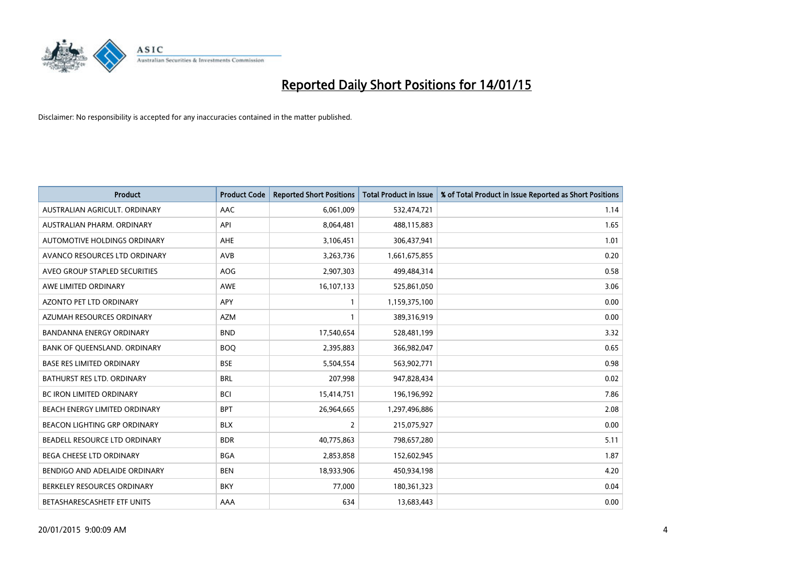

| <b>Product</b>                      | <b>Product Code</b> | <b>Reported Short Positions</b> | <b>Total Product in Issue</b> | % of Total Product in Issue Reported as Short Positions |
|-------------------------------------|---------------------|---------------------------------|-------------------------------|---------------------------------------------------------|
| AUSTRALIAN AGRICULT, ORDINARY       | AAC                 | 6,061,009                       | 532,474,721                   | 1.14                                                    |
| AUSTRALIAN PHARM. ORDINARY          | API                 | 8,064,481                       | 488,115,883                   | 1.65                                                    |
| AUTOMOTIVE HOLDINGS ORDINARY        | AHE                 | 3,106,451                       | 306,437,941                   | 1.01                                                    |
| AVANCO RESOURCES LTD ORDINARY       | AVB                 | 3,263,736                       | 1,661,675,855                 | 0.20                                                    |
| AVEO GROUP STAPLED SECURITIES       | <b>AOG</b>          | 2,907,303                       | 499,484,314                   | 0.58                                                    |
| AWE LIMITED ORDINARY                | AWE                 | 16,107,133                      | 525,861,050                   | 3.06                                                    |
| AZONTO PET LTD ORDINARY             | APY                 | -1                              | 1,159,375,100                 | 0.00                                                    |
| AZUMAH RESOURCES ORDINARY           | <b>AZM</b>          | $\mathbf{1}$                    | 389,316,919                   | 0.00                                                    |
| <b>BANDANNA ENERGY ORDINARY</b>     | <b>BND</b>          | 17,540,654                      | 528,481,199                   | 3.32                                                    |
| BANK OF QUEENSLAND. ORDINARY        | <b>BOQ</b>          | 2,395,883                       | 366,982,047                   | 0.65                                                    |
| <b>BASE RES LIMITED ORDINARY</b>    | <b>BSE</b>          | 5,504,554                       | 563,902,771                   | 0.98                                                    |
| BATHURST RES LTD. ORDINARY          | <b>BRL</b>          | 207,998                         | 947,828,434                   | 0.02                                                    |
| BC IRON LIMITED ORDINARY            | <b>BCI</b>          | 15,414,751                      | 196,196,992                   | 7.86                                                    |
| BEACH ENERGY LIMITED ORDINARY       | <b>BPT</b>          | 26,964,665                      | 1,297,496,886                 | 2.08                                                    |
| <b>BEACON LIGHTING GRP ORDINARY</b> | <b>BLX</b>          | $\overline{2}$                  | 215,075,927                   | 0.00                                                    |
| BEADELL RESOURCE LTD ORDINARY       | <b>BDR</b>          | 40,775,863                      | 798,657,280                   | 5.11                                                    |
| BEGA CHEESE LTD ORDINARY            | <b>BGA</b>          | 2,853,858                       | 152,602,945                   | 1.87                                                    |
| BENDIGO AND ADELAIDE ORDINARY       | <b>BEN</b>          | 18,933,906                      | 450,934,198                   | 4.20                                                    |
| BERKELEY RESOURCES ORDINARY         | <b>BKY</b>          | 77,000                          | 180,361,323                   | 0.04                                                    |
| BETASHARESCASHETF ETF UNITS         | AAA                 | 634                             | 13,683,443                    | 0.00                                                    |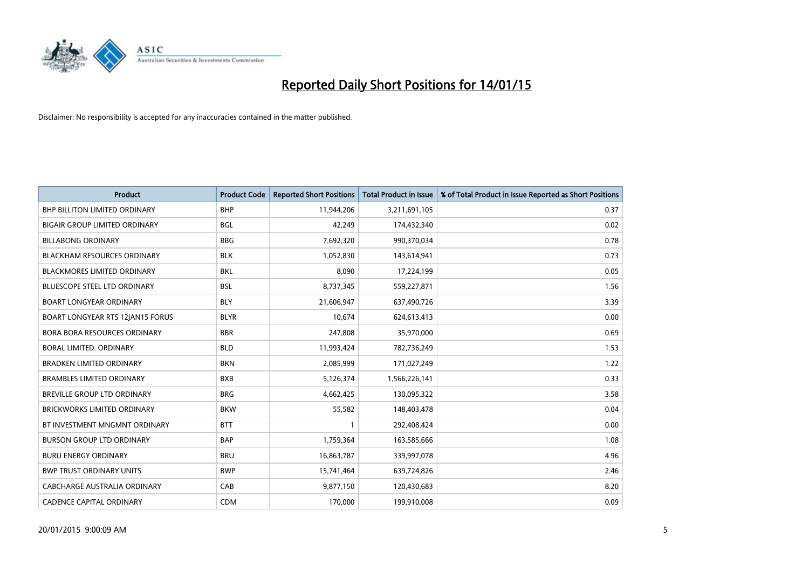

| <b>Product</b>                       | <b>Product Code</b> | <b>Reported Short Positions</b> | Total Product in Issue | % of Total Product in Issue Reported as Short Positions |
|--------------------------------------|---------------------|---------------------------------|------------------------|---------------------------------------------------------|
| <b>BHP BILLITON LIMITED ORDINARY</b> | <b>BHP</b>          | 11,944,206                      | 3,211,691,105          | 0.37                                                    |
| <b>BIGAIR GROUP LIMITED ORDINARY</b> | <b>BGL</b>          | 42,249                          | 174,432,340            | 0.02                                                    |
| <b>BILLABONG ORDINARY</b>            | <b>BBG</b>          | 7,692,320                       | 990,370,034            | 0.78                                                    |
| <b>BLACKHAM RESOURCES ORDINARY</b>   | <b>BLK</b>          | 1,052,830                       | 143,614,941            | 0.73                                                    |
| <b>BLACKMORES LIMITED ORDINARY</b>   | <b>BKL</b>          | 8,090                           | 17,224,199             | 0.05                                                    |
| <b>BLUESCOPE STEEL LTD ORDINARY</b>  | <b>BSL</b>          | 8,737,345                       | 559,227,871            | 1.56                                                    |
| <b>BOART LONGYEAR ORDINARY</b>       | <b>BLY</b>          | 21,606,947                      | 637,490,726            | 3.39                                                    |
| BOART LONGYEAR RTS 12JAN15 FORUS     | <b>BLYR</b>         | 10,674                          | 624,613,413            | 0.00                                                    |
| <b>BORA BORA RESOURCES ORDINARY</b>  | <b>BBR</b>          | 247,808                         | 35,970,000             | 0.69                                                    |
| <b>BORAL LIMITED, ORDINARY</b>       | <b>BLD</b>          | 11,993,424                      | 782,736,249            | 1.53                                                    |
| <b>BRADKEN LIMITED ORDINARY</b>      | <b>BKN</b>          | 2,085,999                       | 171,027,249            | 1.22                                                    |
| <b>BRAMBLES LIMITED ORDINARY</b>     | <b>BXB</b>          | 5,126,374                       | 1,566,226,141          | 0.33                                                    |
| BREVILLE GROUP LTD ORDINARY          | <b>BRG</b>          | 4,662,425                       | 130,095,322            | 3.58                                                    |
| <b>BRICKWORKS LIMITED ORDINARY</b>   | <b>BKW</b>          | 55,582                          | 148,403,478            | 0.04                                                    |
| BT INVESTMENT MNGMNT ORDINARY        | <b>BTT</b>          | $\mathbf{1}$                    | 292,408,424            | 0.00                                                    |
| <b>BURSON GROUP LTD ORDINARY</b>     | <b>BAP</b>          | 1,759,364                       | 163,585,666            | 1.08                                                    |
| <b>BURU ENERGY ORDINARY</b>          | <b>BRU</b>          | 16,863,787                      | 339,997,078            | 4.96                                                    |
| <b>BWP TRUST ORDINARY UNITS</b>      | <b>BWP</b>          | 15,741,464                      | 639,724,826            | 2.46                                                    |
| CABCHARGE AUSTRALIA ORDINARY         | CAB                 | 9,877,150                       | 120,430,683            | 8.20                                                    |
| <b>CADENCE CAPITAL ORDINARY</b>      | <b>CDM</b>          | 170,000                         | 199,910,008            | 0.09                                                    |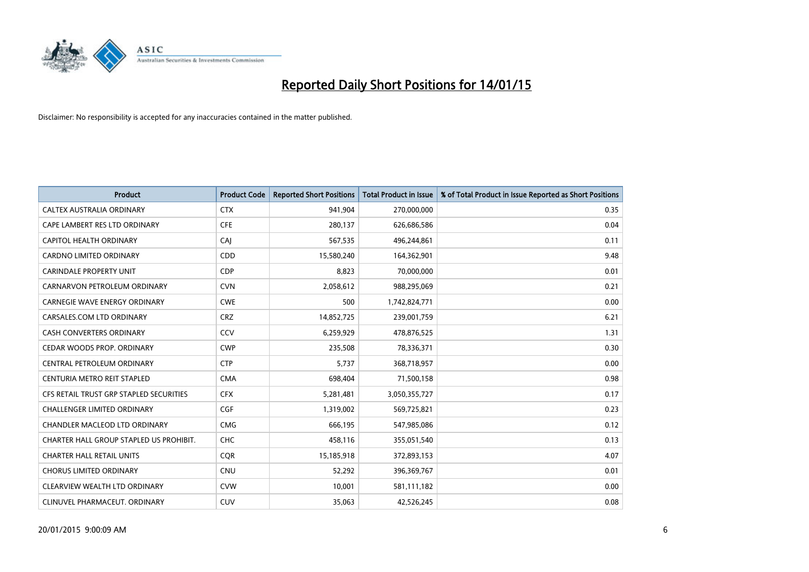

| <b>Product</b>                          | <b>Product Code</b> | <b>Reported Short Positions</b> | <b>Total Product in Issue</b> | % of Total Product in Issue Reported as Short Positions |
|-----------------------------------------|---------------------|---------------------------------|-------------------------------|---------------------------------------------------------|
| CALTEX AUSTRALIA ORDINARY               | <b>CTX</b>          | 941,904                         | 270,000,000                   | 0.35                                                    |
| CAPE LAMBERT RES LTD ORDINARY           | <b>CFE</b>          | 280,137                         | 626,686,586                   | 0.04                                                    |
| CAPITOL HEALTH ORDINARY                 | CAJ                 | 567,535                         | 496,244,861                   | 0.11                                                    |
| <b>CARDNO LIMITED ORDINARY</b>          | CDD                 | 15,580,240                      | 164,362,901                   | 9.48                                                    |
| <b>CARINDALE PROPERTY UNIT</b>          | <b>CDP</b>          | 8,823                           | 70,000,000                    | 0.01                                                    |
| CARNARVON PETROLEUM ORDINARY            | <b>CVN</b>          | 2,058,612                       | 988,295,069                   | 0.21                                                    |
| <b>CARNEGIE WAVE ENERGY ORDINARY</b>    | <b>CWE</b>          | 500                             | 1,742,824,771                 | 0.00                                                    |
| CARSALES.COM LTD ORDINARY               | <b>CRZ</b>          | 14,852,725                      | 239,001,759                   | 6.21                                                    |
| <b>CASH CONVERTERS ORDINARY</b>         | CCV                 | 6,259,929                       | 478,876,525                   | 1.31                                                    |
| CEDAR WOODS PROP. ORDINARY              | <b>CWP</b>          | 235,508                         | 78,336,371                    | 0.30                                                    |
| CENTRAL PETROLEUM ORDINARY              | <b>CTP</b>          | 5,737                           | 368,718,957                   | 0.00                                                    |
| CENTURIA METRO REIT STAPLED             | <b>CMA</b>          | 698,404                         | 71,500,158                    | 0.98                                                    |
| CFS RETAIL TRUST GRP STAPLED SECURITIES | <b>CFX</b>          | 5,281,481                       | 3,050,355,727                 | 0.17                                                    |
| <b>CHALLENGER LIMITED ORDINARY</b>      | <b>CGF</b>          | 1,319,002                       | 569,725,821                   | 0.23                                                    |
| CHANDLER MACLEOD LTD ORDINARY           | <b>CMG</b>          | 666,195                         | 547,985,086                   | 0.12                                                    |
| CHARTER HALL GROUP STAPLED US PROHIBIT. | <b>CHC</b>          | 458,116                         | 355,051,540                   | 0.13                                                    |
| <b>CHARTER HALL RETAIL UNITS</b>        | <b>CQR</b>          | 15,185,918                      | 372,893,153                   | 4.07                                                    |
| <b>CHORUS LIMITED ORDINARY</b>          | <b>CNU</b>          | 52,292                          | 396,369,767                   | 0.01                                                    |
| CLEARVIEW WEALTH LTD ORDINARY           | <b>CVW</b>          | 10,001                          | 581,111,182                   | 0.00                                                    |
| CLINUVEL PHARMACEUT. ORDINARY           | <b>CUV</b>          | 35,063                          | 42,526,245                    | 0.08                                                    |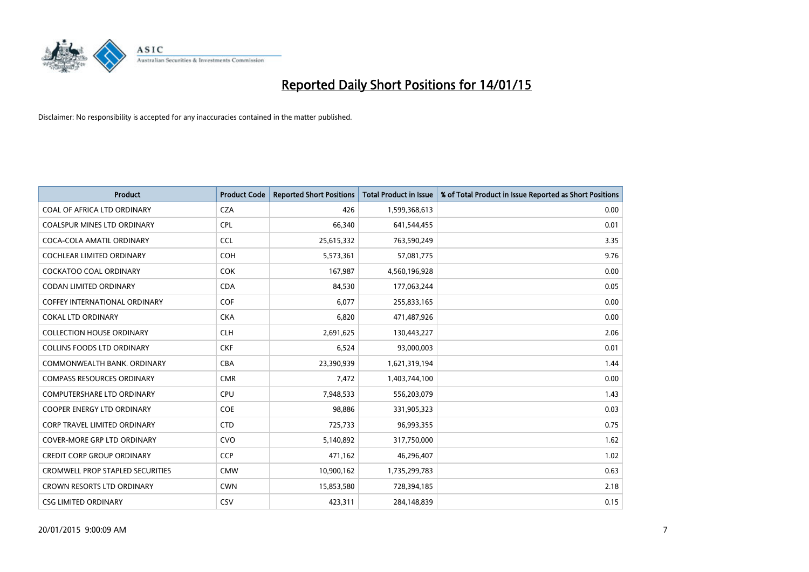

| <b>Product</b>                          | <b>Product Code</b> | <b>Reported Short Positions</b> | <b>Total Product in Issue</b> | % of Total Product in Issue Reported as Short Positions |
|-----------------------------------------|---------------------|---------------------------------|-------------------------------|---------------------------------------------------------|
| COAL OF AFRICA LTD ORDINARY             | <b>CZA</b>          | 426                             | 1,599,368,613                 | 0.00                                                    |
| <b>COALSPUR MINES LTD ORDINARY</b>      | <b>CPL</b>          | 66,340                          | 641,544,455                   | 0.01                                                    |
| COCA-COLA AMATIL ORDINARY               | <b>CCL</b>          | 25,615,332                      | 763,590,249                   | 3.35                                                    |
| COCHLEAR LIMITED ORDINARY               | <b>COH</b>          | 5,573,361                       | 57,081,775                    | 9.76                                                    |
| <b>COCKATOO COAL ORDINARY</b>           | <b>COK</b>          | 167,987                         | 4,560,196,928                 | 0.00                                                    |
| <b>CODAN LIMITED ORDINARY</b>           | <b>CDA</b>          | 84,530                          | 177,063,244                   | 0.05                                                    |
| <b>COFFEY INTERNATIONAL ORDINARY</b>    | <b>COF</b>          | 6,077                           | 255,833,165                   | 0.00                                                    |
| <b>COKAL LTD ORDINARY</b>               | <b>CKA</b>          | 6,820                           | 471,487,926                   | 0.00                                                    |
| <b>COLLECTION HOUSE ORDINARY</b>        | <b>CLH</b>          | 2,691,625                       | 130,443,227                   | 2.06                                                    |
| <b>COLLINS FOODS LTD ORDINARY</b>       | <b>CKF</b>          | 6,524                           | 93,000,003                    | 0.01                                                    |
| COMMONWEALTH BANK, ORDINARY             | <b>CBA</b>          | 23,390,939                      | 1,621,319,194                 | 1.44                                                    |
| <b>COMPASS RESOURCES ORDINARY</b>       | <b>CMR</b>          | 7,472                           | 1,403,744,100                 | 0.00                                                    |
| COMPUTERSHARE LTD ORDINARY              | <b>CPU</b>          | 7,948,533                       | 556,203,079                   | 1.43                                                    |
| <b>COOPER ENERGY LTD ORDINARY</b>       | <b>COE</b>          | 98,886                          | 331,905,323                   | 0.03                                                    |
| <b>CORP TRAVEL LIMITED ORDINARY</b>     | <b>CTD</b>          | 725,733                         | 96,993,355                    | 0.75                                                    |
| <b>COVER-MORE GRP LTD ORDINARY</b>      | <b>CVO</b>          | 5,140,892                       | 317,750,000                   | 1.62                                                    |
| <b>CREDIT CORP GROUP ORDINARY</b>       | <b>CCP</b>          | 471,162                         | 46,296,407                    | 1.02                                                    |
| <b>CROMWELL PROP STAPLED SECURITIES</b> | <b>CMW</b>          | 10,900,162                      | 1,735,299,783                 | 0.63                                                    |
| <b>CROWN RESORTS LTD ORDINARY</b>       | <b>CWN</b>          | 15,853,580                      | 728,394,185                   | 2.18                                                    |
| <b>CSG LIMITED ORDINARY</b>             | CSV                 | 423,311                         | 284,148,839                   | 0.15                                                    |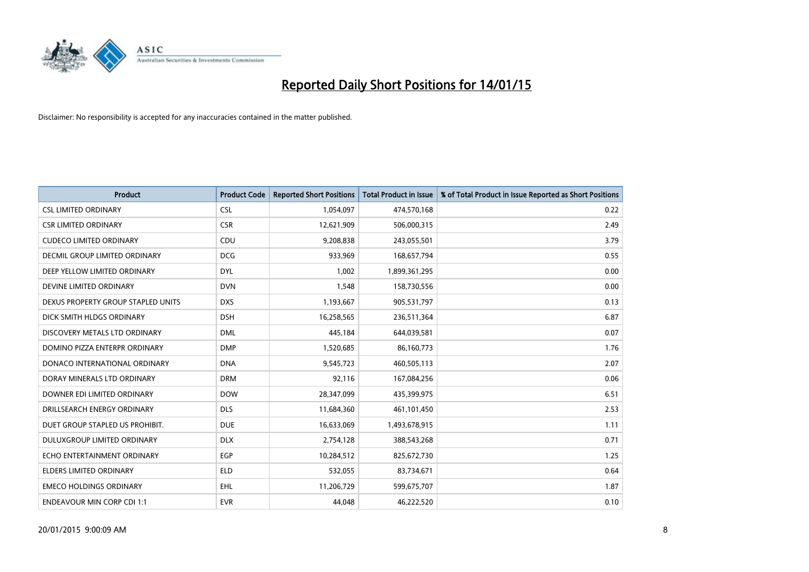

| <b>Product</b>                     | <b>Product Code</b> | <b>Reported Short Positions</b> | <b>Total Product in Issue</b> | % of Total Product in Issue Reported as Short Positions |
|------------------------------------|---------------------|---------------------------------|-------------------------------|---------------------------------------------------------|
| <b>CSL LIMITED ORDINARY</b>        | <b>CSL</b>          | 1,054,097                       | 474,570,168                   | 0.22                                                    |
| <b>CSR LIMITED ORDINARY</b>        | <b>CSR</b>          | 12,621,909                      | 506,000,315                   | 2.49                                                    |
| <b>CUDECO LIMITED ORDINARY</b>     | CDU                 | 9,208,838                       | 243,055,501                   | 3.79                                                    |
| DECMIL GROUP LIMITED ORDINARY      | <b>DCG</b>          | 933,969                         | 168,657,794                   | 0.55                                                    |
| DEEP YELLOW LIMITED ORDINARY       | <b>DYL</b>          | 1,002                           | 1,899,361,295                 | 0.00                                                    |
| DEVINE LIMITED ORDINARY            | <b>DVN</b>          | 1,548                           | 158,730,556                   | 0.00                                                    |
| DEXUS PROPERTY GROUP STAPLED UNITS | <b>DXS</b>          | 1,193,667                       | 905,531,797                   | 0.13                                                    |
| DICK SMITH HLDGS ORDINARY          | <b>DSH</b>          | 16,258,565                      | 236,511,364                   | 6.87                                                    |
| DISCOVERY METALS LTD ORDINARY      | <b>DML</b>          | 445,184                         | 644,039,581                   | 0.07                                                    |
| DOMINO PIZZA ENTERPR ORDINARY      | <b>DMP</b>          | 1,520,685                       | 86,160,773                    | 1.76                                                    |
| DONACO INTERNATIONAL ORDINARY      | <b>DNA</b>          | 9,545,723                       | 460,505,113                   | 2.07                                                    |
| DORAY MINERALS LTD ORDINARY        | <b>DRM</b>          | 92,116                          | 167,084,256                   | 0.06                                                    |
| DOWNER EDI LIMITED ORDINARY        | <b>DOW</b>          | 28,347,099                      | 435,399,975                   | 6.51                                                    |
| DRILLSEARCH ENERGY ORDINARY        | <b>DLS</b>          | 11,684,360                      | 461,101,450                   | 2.53                                                    |
| DUET GROUP STAPLED US PROHIBIT.    | <b>DUE</b>          | 16,633,069                      | 1,493,678,915                 | 1.11                                                    |
| DULUXGROUP LIMITED ORDINARY        | <b>DLX</b>          | 2,754,128                       | 388,543,268                   | 0.71                                                    |
| ECHO ENTERTAINMENT ORDINARY        | EGP                 | 10,284,512                      | 825,672,730                   | 1.25                                                    |
| <b>ELDERS LIMITED ORDINARY</b>     | <b>ELD</b>          | 532,055                         | 83,734,671                    | 0.64                                                    |
| <b>EMECO HOLDINGS ORDINARY</b>     | <b>EHL</b>          | 11,206,729                      | 599,675,707                   | 1.87                                                    |
| <b>ENDEAVOUR MIN CORP CDI 1:1</b>  | <b>EVR</b>          | 44,048                          | 46,222,520                    | 0.10                                                    |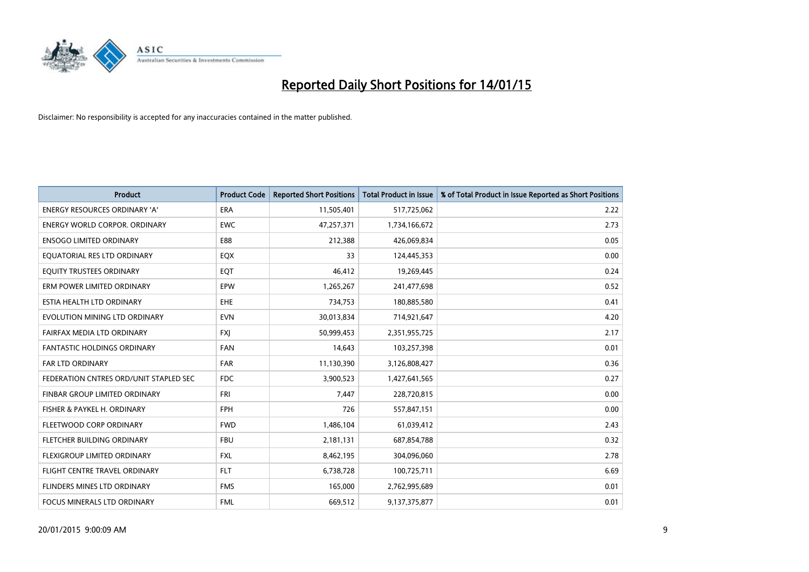

| <b>Product</b>                         | <b>Product Code</b> | <b>Reported Short Positions</b> | <b>Total Product in Issue</b> | % of Total Product in Issue Reported as Short Positions |
|----------------------------------------|---------------------|---------------------------------|-------------------------------|---------------------------------------------------------|
| <b>ENERGY RESOURCES ORDINARY 'A'</b>   | <b>ERA</b>          | 11,505,401                      | 517,725,062                   | 2.22                                                    |
| <b>ENERGY WORLD CORPOR. ORDINARY</b>   | <b>EWC</b>          | 47,257,371                      | 1,734,166,672                 | 2.73                                                    |
| <b>ENSOGO LIMITED ORDINARY</b>         | E88                 | 212,388                         | 426,069,834                   | 0.05                                                    |
| EQUATORIAL RES LTD ORDINARY            | EQX                 | 33                              | 124,445,353                   | 0.00                                                    |
| EQUITY TRUSTEES ORDINARY               | EQT                 | 46,412                          | 19,269,445                    | 0.24                                                    |
| ERM POWER LIMITED ORDINARY             | EPW                 | 1,265,267                       | 241,477,698                   | 0.52                                                    |
| ESTIA HEALTH LTD ORDINARY              | <b>EHE</b>          | 734,753                         | 180,885,580                   | 0.41                                                    |
| EVOLUTION MINING LTD ORDINARY          | <b>EVN</b>          | 30,013,834                      | 714,921,647                   | 4.20                                                    |
| FAIRFAX MEDIA LTD ORDINARY             | <b>FXI</b>          | 50,999,453                      | 2,351,955,725                 | 2.17                                                    |
| <b>FANTASTIC HOLDINGS ORDINARY</b>     | <b>FAN</b>          | 14,643                          | 103,257,398                   | 0.01                                                    |
| FAR LTD ORDINARY                       | FAR                 | 11,130,390                      | 3,126,808,427                 | 0.36                                                    |
| FEDERATION CNTRES ORD/UNIT STAPLED SEC | FDC                 | 3,900,523                       | 1,427,641,565                 | 0.27                                                    |
| FINBAR GROUP LIMITED ORDINARY          | <b>FRI</b>          | 7,447                           | 228,720,815                   | 0.00                                                    |
| FISHER & PAYKEL H. ORDINARY            | FPH                 | 726                             | 557,847,151                   | 0.00                                                    |
| FLEETWOOD CORP ORDINARY                | <b>FWD</b>          | 1,486,104                       | 61,039,412                    | 2.43                                                    |
| FLETCHER BUILDING ORDINARY             | <b>FBU</b>          | 2,181,131                       | 687,854,788                   | 0.32                                                    |
| FLEXIGROUP LIMITED ORDINARY            | <b>FXL</b>          | 8,462,195                       | 304,096,060                   | 2.78                                                    |
| FLIGHT CENTRE TRAVEL ORDINARY          | <b>FLT</b>          | 6,738,728                       | 100,725,711                   | 6.69                                                    |
| FLINDERS MINES LTD ORDINARY            | <b>FMS</b>          | 165,000                         | 2,762,995,689                 | 0.01                                                    |
| FOCUS MINERALS LTD ORDINARY            | <b>FML</b>          | 669,512                         | 9,137,375,877                 | 0.01                                                    |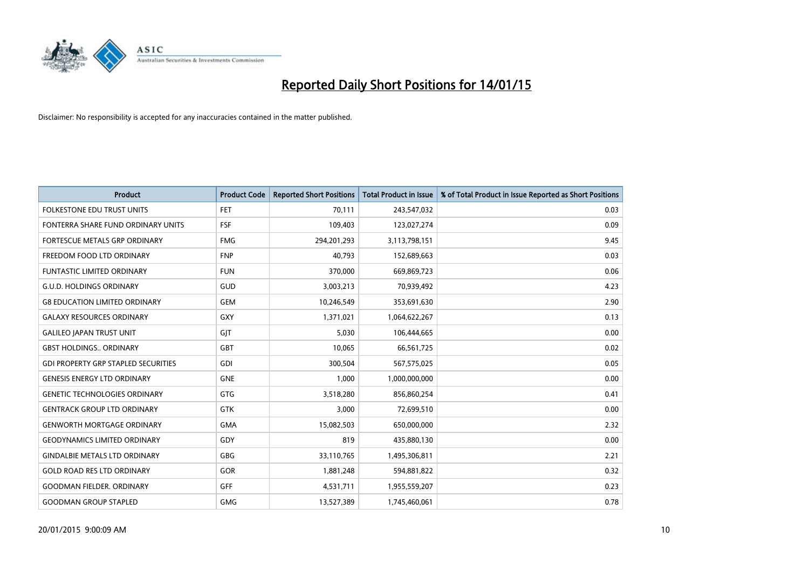

| <b>Product</b>                             | <b>Product Code</b> | <b>Reported Short Positions</b> | <b>Total Product in Issue</b> | % of Total Product in Issue Reported as Short Positions |
|--------------------------------------------|---------------------|---------------------------------|-------------------------------|---------------------------------------------------------|
| <b>FOLKESTONE EDU TRUST UNITS</b>          | <b>FET</b>          | 70,111                          | 243,547,032                   | 0.03                                                    |
| FONTERRA SHARE FUND ORDINARY UNITS         | <b>FSF</b>          | 109,403                         | 123,027,274                   | 0.09                                                    |
| FORTESCUE METALS GRP ORDINARY              | <b>FMG</b>          | 294,201,293                     | 3,113,798,151                 | 9.45                                                    |
| FREEDOM FOOD LTD ORDINARY                  | <b>FNP</b>          | 40,793                          | 152,689,663                   | 0.03                                                    |
| <b>FUNTASTIC LIMITED ORDINARY</b>          | <b>FUN</b>          | 370,000                         | 669,869,723                   | 0.06                                                    |
| <b>G.U.D. HOLDINGS ORDINARY</b>            | GUD                 | 3,003,213                       | 70,939,492                    | 4.23                                                    |
| <b>G8 EDUCATION LIMITED ORDINARY</b>       | <b>GEM</b>          | 10,246,549                      | 353,691,630                   | 2.90                                                    |
| <b>GALAXY RESOURCES ORDINARY</b>           | GXY                 | 1,371,021                       | 1,064,622,267                 | 0.13                                                    |
| <b>GALILEO JAPAN TRUST UNIT</b>            | GIT                 | 5,030                           | 106,444,665                   | 0.00                                                    |
| <b>GBST HOLDINGS., ORDINARY</b>            | <b>GBT</b>          | 10,065                          | 66,561,725                    | 0.02                                                    |
| <b>GDI PROPERTY GRP STAPLED SECURITIES</b> | GDI                 | 300,504                         | 567,575,025                   | 0.05                                                    |
| <b>GENESIS ENERGY LTD ORDINARY</b>         | <b>GNE</b>          | 1,000                           | 1,000,000,000                 | 0.00                                                    |
| <b>GENETIC TECHNOLOGIES ORDINARY</b>       | GTG                 | 3,518,280                       | 856,860,254                   | 0.41                                                    |
| <b>GENTRACK GROUP LTD ORDINARY</b>         | <b>GTK</b>          | 3,000                           | 72,699,510                    | 0.00                                                    |
| <b>GENWORTH MORTGAGE ORDINARY</b>          | <b>GMA</b>          | 15,082,503                      | 650,000,000                   | 2.32                                                    |
| <b>GEODYNAMICS LIMITED ORDINARY</b>        | GDY                 | 819                             | 435,880,130                   | 0.00                                                    |
| <b>GINDALBIE METALS LTD ORDINARY</b>       | GBG                 | 33,110,765                      | 1,495,306,811                 | 2.21                                                    |
| <b>GOLD ROAD RES LTD ORDINARY</b>          | GOR                 | 1,881,248                       | 594,881,822                   | 0.32                                                    |
| <b>GOODMAN FIELDER, ORDINARY</b>           | GFF                 | 4,531,711                       | 1,955,559,207                 | 0.23                                                    |
| <b>GOODMAN GROUP STAPLED</b>               | <b>GMG</b>          | 13,527,389                      | 1,745,460,061                 | 0.78                                                    |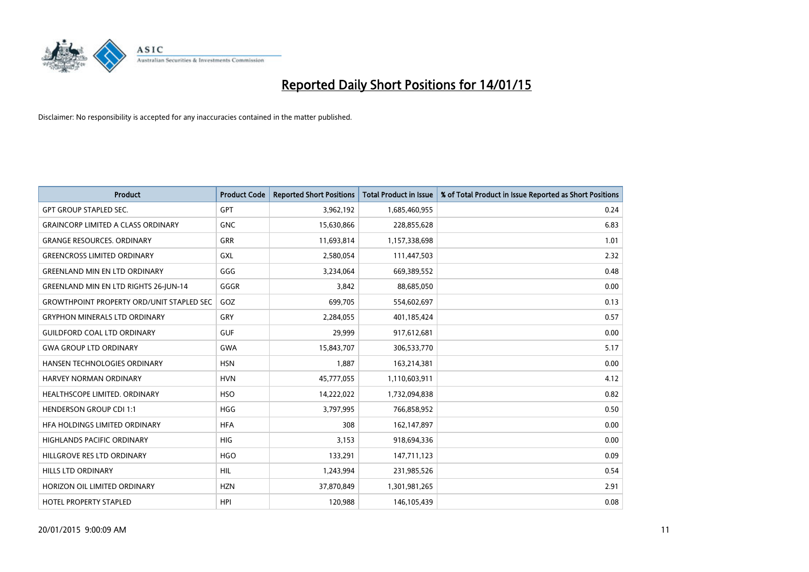

| <b>Product</b>                                   | <b>Product Code</b> | <b>Reported Short Positions</b> | <b>Total Product in Issue</b> | % of Total Product in Issue Reported as Short Positions |
|--------------------------------------------------|---------------------|---------------------------------|-------------------------------|---------------------------------------------------------|
| <b>GPT GROUP STAPLED SEC.</b>                    | GPT                 | 3,962,192                       | 1,685,460,955                 | 0.24                                                    |
| <b>GRAINCORP LIMITED A CLASS ORDINARY</b>        | <b>GNC</b>          | 15,630,866                      | 228,855,628                   | 6.83                                                    |
| <b>GRANGE RESOURCES, ORDINARY</b>                | <b>GRR</b>          | 11,693,814                      | 1,157,338,698                 | 1.01                                                    |
| <b>GREENCROSS LIMITED ORDINARY</b>               | <b>GXL</b>          | 2,580,054                       | 111,447,503                   | 2.32                                                    |
| <b>GREENLAND MIN EN LTD ORDINARY</b>             | GGG                 | 3,234,064                       | 669,389,552                   | 0.48                                                    |
| GREENLAND MIN EN LTD RIGHTS 26-JUN-14            | GGGR                | 3,842                           | 88,685,050                    | 0.00                                                    |
| <b>GROWTHPOINT PROPERTY ORD/UNIT STAPLED SEC</b> | GOZ                 | 699.705                         | 554,602,697                   | 0.13                                                    |
| <b>GRYPHON MINERALS LTD ORDINARY</b>             | GRY                 | 2,284,055                       | 401,185,424                   | 0.57                                                    |
| <b>GUILDFORD COAL LTD ORDINARY</b>               | <b>GUF</b>          | 29,999                          | 917,612,681                   | 0.00                                                    |
| <b>GWA GROUP LTD ORDINARY</b>                    | <b>GWA</b>          | 15,843,707                      | 306,533,770                   | 5.17                                                    |
| HANSEN TECHNOLOGIES ORDINARY                     | <b>HSN</b>          | 1,887                           | 163,214,381                   | 0.00                                                    |
| <b>HARVEY NORMAN ORDINARY</b>                    | <b>HVN</b>          | 45,777,055                      | 1,110,603,911                 | 4.12                                                    |
| HEALTHSCOPE LIMITED. ORDINARY                    | <b>HSO</b>          | 14,222,022                      | 1,732,094,838                 | 0.82                                                    |
| <b>HENDERSON GROUP CDI 1:1</b>                   | <b>HGG</b>          | 3,797,995                       | 766,858,952                   | 0.50                                                    |
| HFA HOLDINGS LIMITED ORDINARY                    | <b>HFA</b>          | 308                             | 162,147,897                   | 0.00                                                    |
| <b>HIGHLANDS PACIFIC ORDINARY</b>                | <b>HIG</b>          | 3,153                           | 918,694,336                   | 0.00                                                    |
| HILLGROVE RES LTD ORDINARY                       | <b>HGO</b>          | 133,291                         | 147,711,123                   | 0.09                                                    |
| HILLS LTD ORDINARY                               | HIL                 | 1,243,994                       | 231,985,526                   | 0.54                                                    |
| HORIZON OIL LIMITED ORDINARY                     | <b>HZN</b>          | 37,870,849                      | 1,301,981,265                 | 2.91                                                    |
| <b>HOTEL PROPERTY STAPLED</b>                    | <b>HPI</b>          | 120,988                         | 146, 105, 439                 | 0.08                                                    |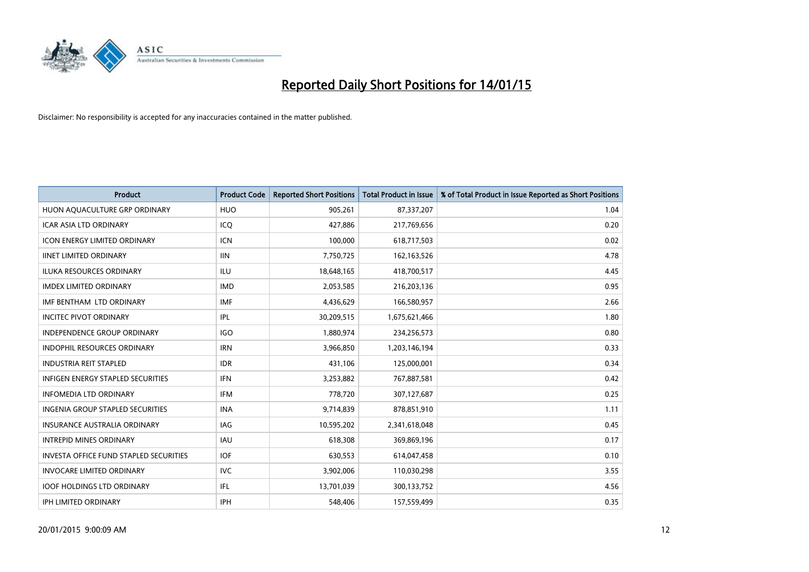

| Product                                       | <b>Product Code</b> | <b>Reported Short Positions</b> | <b>Total Product in Issue</b> | % of Total Product in Issue Reported as Short Positions |
|-----------------------------------------------|---------------------|---------------------------------|-------------------------------|---------------------------------------------------------|
| HUON AQUACULTURE GRP ORDINARY                 | <b>HUO</b>          | 905,261                         | 87,337,207                    | 1.04                                                    |
| <b>ICAR ASIA LTD ORDINARY</b>                 | ICQ                 | 427,886                         | 217,769,656                   | 0.20                                                    |
| <b>ICON ENERGY LIMITED ORDINARY</b>           | <b>ICN</b>          | 100,000                         | 618,717,503                   | 0.02                                                    |
| <b>IINET LIMITED ORDINARY</b>                 | <b>IIN</b>          | 7,750,725                       | 162, 163, 526                 | 4.78                                                    |
| <b>ILUKA RESOURCES ORDINARY</b>               | ILU                 | 18,648,165                      | 418,700,517                   | 4.45                                                    |
| <b>IMDEX LIMITED ORDINARY</b>                 | <b>IMD</b>          | 2,053,585                       | 216,203,136                   | 0.95                                                    |
| IMF BENTHAM LTD ORDINARY                      | <b>IMF</b>          | 4,436,629                       | 166,580,957                   | 2.66                                                    |
| <b>INCITEC PIVOT ORDINARY</b>                 | IPL                 | 30,209,515                      | 1,675,621,466                 | 1.80                                                    |
| <b>INDEPENDENCE GROUP ORDINARY</b>            | <b>IGO</b>          | 1,880,974                       | 234,256,573                   | 0.80                                                    |
| <b>INDOPHIL RESOURCES ORDINARY</b>            | <b>IRN</b>          | 3,966,850                       | 1,203,146,194                 | 0.33                                                    |
| <b>INDUSTRIA REIT STAPLED</b>                 | <b>IDR</b>          | 431,106                         | 125,000,001                   | 0.34                                                    |
| <b>INFIGEN ENERGY STAPLED SECURITIES</b>      | <b>IFN</b>          | 3,253,882                       | 767,887,581                   | 0.42                                                    |
| <b>INFOMEDIA LTD ORDINARY</b>                 | IFM                 | 778,720                         | 307,127,687                   | 0.25                                                    |
| <b>INGENIA GROUP STAPLED SECURITIES</b>       | <b>INA</b>          | 9,714,839                       | 878,851,910                   | 1.11                                                    |
| <b>INSURANCE AUSTRALIA ORDINARY</b>           | IAG                 | 10,595,202                      | 2,341,618,048                 | 0.45                                                    |
| <b>INTREPID MINES ORDINARY</b>                | <b>IAU</b>          | 618,308                         | 369,869,196                   | 0.17                                                    |
| <b>INVESTA OFFICE FUND STAPLED SECURITIES</b> | <b>IOF</b>          | 630,553                         | 614,047,458                   | 0.10                                                    |
| <b>INVOCARE LIMITED ORDINARY</b>              | <b>IVC</b>          | 3,902,006                       | 110,030,298                   | 3.55                                                    |
| <b>IOOF HOLDINGS LTD ORDINARY</b>             | IFL                 | 13,701,039                      | 300,133,752                   | 4.56                                                    |
| <b>IPH LIMITED ORDINARY</b>                   | IPH                 | 548,406                         | 157,559,499                   | 0.35                                                    |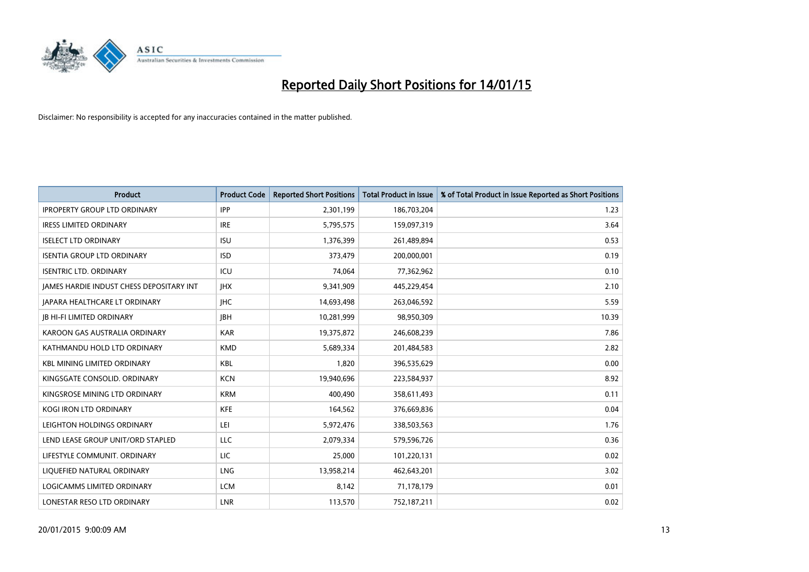

| <b>Product</b>                           | <b>Product Code</b> | <b>Reported Short Positions</b> | <b>Total Product in Issue</b> | % of Total Product in Issue Reported as Short Positions |
|------------------------------------------|---------------------|---------------------------------|-------------------------------|---------------------------------------------------------|
| <b>IPROPERTY GROUP LTD ORDINARY</b>      | <b>IPP</b>          | 2,301,199                       | 186,703,204                   | 1.23                                                    |
| <b>IRESS LIMITED ORDINARY</b>            | <b>IRE</b>          | 5,795,575                       | 159,097,319                   | 3.64                                                    |
| <b>ISELECT LTD ORDINARY</b>              | <b>ISU</b>          | 1,376,399                       | 261,489,894                   | 0.53                                                    |
| <b>ISENTIA GROUP LTD ORDINARY</b>        | <b>ISD</b>          | 373,479                         | 200,000,001                   | 0.19                                                    |
| <b>ISENTRIC LTD. ORDINARY</b>            | ICU                 | 74,064                          | 77,362,962                    | 0.10                                                    |
| JAMES HARDIE INDUST CHESS DEPOSITARY INT | <b>IHX</b>          | 9,341,909                       | 445,229,454                   | 2.10                                                    |
| JAPARA HEALTHCARE LT ORDINARY            | <b>IHC</b>          | 14,693,498                      | 263,046,592                   | 5.59                                                    |
| <b>JB HI-FI LIMITED ORDINARY</b>         | <b>JBH</b>          | 10,281,999                      | 98,950,309                    | 10.39                                                   |
| KAROON GAS AUSTRALIA ORDINARY            | <b>KAR</b>          | 19,375,872                      | 246,608,239                   | 7.86                                                    |
| KATHMANDU HOLD LTD ORDINARY              | <b>KMD</b>          | 5,689,334                       | 201,484,583                   | 2.82                                                    |
| <b>KBL MINING LIMITED ORDINARY</b>       | <b>KBL</b>          | 1,820                           | 396,535,629                   | 0.00                                                    |
| KINGSGATE CONSOLID. ORDINARY             | <b>KCN</b>          | 19,940,696                      | 223,584,937                   | 8.92                                                    |
| KINGSROSE MINING LTD ORDINARY            | <b>KRM</b>          | 400,490                         | 358,611,493                   | 0.11                                                    |
| <b>KOGI IRON LTD ORDINARY</b>            | KFE                 | 164,562                         | 376,669,836                   | 0.04                                                    |
| LEIGHTON HOLDINGS ORDINARY               | LEI                 | 5,972,476                       | 338,503,563                   | 1.76                                                    |
| LEND LEASE GROUP UNIT/ORD STAPLED        | LLC                 | 2,079,334                       | 579,596,726                   | 0.36                                                    |
| LIFESTYLE COMMUNIT. ORDINARY             | LIC                 | 25,000                          | 101,220,131                   | 0.02                                                    |
| LIQUEFIED NATURAL ORDINARY               | <b>LNG</b>          | 13,958,214                      | 462,643,201                   | 3.02                                                    |
| <b>LOGICAMMS LIMITED ORDINARY</b>        | <b>LCM</b>          | 8,142                           | 71,178,179                    | 0.01                                                    |
| LONESTAR RESO LTD ORDINARY               | <b>LNR</b>          | 113,570                         | 752,187,211                   | 0.02                                                    |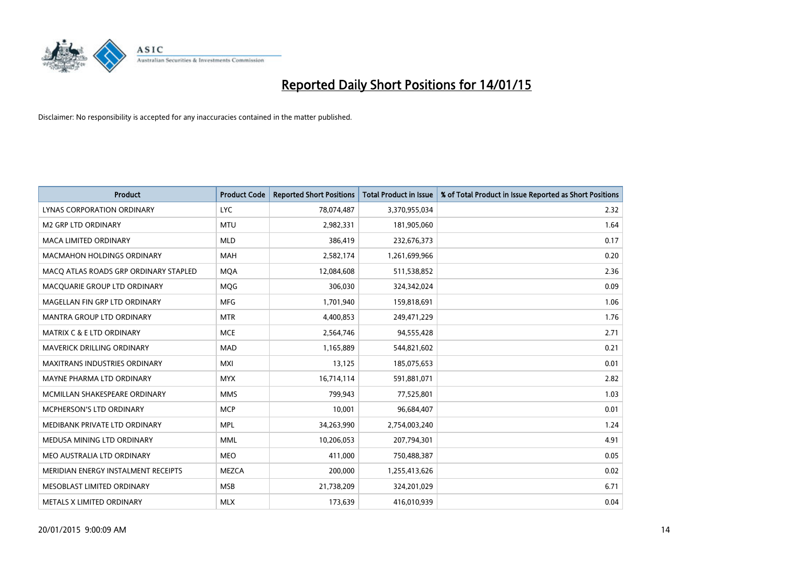

| <b>Product</b>                        | <b>Product Code</b> | <b>Reported Short Positions</b> | <b>Total Product in Issue</b> | % of Total Product in Issue Reported as Short Positions |
|---------------------------------------|---------------------|---------------------------------|-------------------------------|---------------------------------------------------------|
| LYNAS CORPORATION ORDINARY            | <b>LYC</b>          | 78,074,487                      | 3,370,955,034                 | 2.32                                                    |
| <b>M2 GRP LTD ORDINARY</b>            | <b>MTU</b>          | 2,982,331                       | 181,905,060                   | 1.64                                                    |
| <b>MACA LIMITED ORDINARY</b>          | <b>MLD</b>          | 386,419                         | 232,676,373                   | 0.17                                                    |
| <b>MACMAHON HOLDINGS ORDINARY</b>     | <b>MAH</b>          | 2,582,174                       | 1,261,699,966                 | 0.20                                                    |
| MACO ATLAS ROADS GRP ORDINARY STAPLED | <b>MOA</b>          | 12,084,608                      | 511,538,852                   | 2.36                                                    |
| MACQUARIE GROUP LTD ORDINARY          | MQG                 | 306,030                         | 324,342,024                   | 0.09                                                    |
| MAGELLAN FIN GRP LTD ORDINARY         | <b>MFG</b>          | 1,701,940                       | 159,818,691                   | 1.06                                                    |
| <b>MANTRA GROUP LTD ORDINARY</b>      | <b>MTR</b>          | 4,400,853                       | 249,471,229                   | 1.76                                                    |
| <b>MATRIX C &amp; E LTD ORDINARY</b>  | <b>MCE</b>          | 2,564,746                       | 94,555,428                    | 2.71                                                    |
| MAVERICK DRILLING ORDINARY            | MAD                 | 1,165,889                       | 544,821,602                   | 0.21                                                    |
| MAXITRANS INDUSTRIES ORDINARY         | <b>MXI</b>          | 13,125                          | 185,075,653                   | 0.01                                                    |
| MAYNE PHARMA LTD ORDINARY             | <b>MYX</b>          | 16,714,114                      | 591,881,071                   | 2.82                                                    |
| MCMILLAN SHAKESPEARE ORDINARY         | <b>MMS</b>          | 799,943                         | 77,525,801                    | 1.03                                                    |
| <b>MCPHERSON'S LTD ORDINARY</b>       | <b>MCP</b>          | 10,001                          | 96,684,407                    | 0.01                                                    |
| MEDIBANK PRIVATE LTD ORDINARY         | <b>MPL</b>          | 34,263,990                      | 2,754,003,240                 | 1.24                                                    |
| MEDUSA MINING LTD ORDINARY            | <b>MML</b>          | 10,206,053                      | 207,794,301                   | 4.91                                                    |
| MEO AUSTRALIA LTD ORDINARY            | <b>MEO</b>          | 411,000                         | 750,488,387                   | 0.05                                                    |
| MERIDIAN ENERGY INSTALMENT RECEIPTS   | <b>MEZCA</b>        | 200,000                         | 1,255,413,626                 | 0.02                                                    |
| MESOBLAST LIMITED ORDINARY            | <b>MSB</b>          | 21,738,209                      | 324,201,029                   | 6.71                                                    |
| METALS X LIMITED ORDINARY             | <b>MLX</b>          | 173,639                         | 416,010,939                   | 0.04                                                    |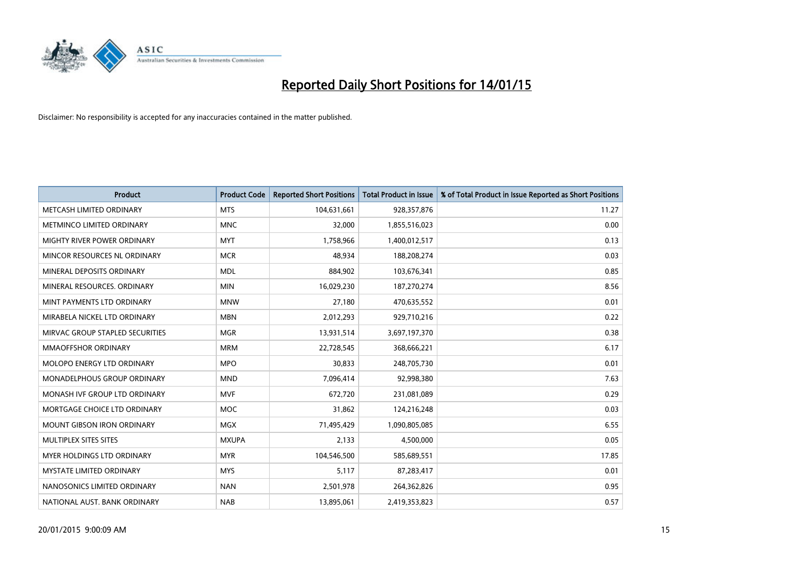

| <b>Product</b>                     | <b>Product Code</b> | <b>Reported Short Positions</b> | <b>Total Product in Issue</b> | % of Total Product in Issue Reported as Short Positions |
|------------------------------------|---------------------|---------------------------------|-------------------------------|---------------------------------------------------------|
| METCASH LIMITED ORDINARY           | <b>MTS</b>          | 104,631,661                     | 928,357,876                   | 11.27                                                   |
| METMINCO LIMITED ORDINARY          | <b>MNC</b>          | 32,000                          | 1,855,516,023                 | 0.00                                                    |
| <b>MIGHTY RIVER POWER ORDINARY</b> | <b>MYT</b>          | 1,758,966                       | 1,400,012,517                 | 0.13                                                    |
| MINCOR RESOURCES NL ORDINARY       | <b>MCR</b>          | 48,934                          | 188,208,274                   | 0.03                                                    |
| MINERAL DEPOSITS ORDINARY          | <b>MDL</b>          | 884,902                         | 103,676,341                   | 0.85                                                    |
| MINERAL RESOURCES, ORDINARY        | <b>MIN</b>          | 16,029,230                      | 187,270,274                   | 8.56                                                    |
| MINT PAYMENTS LTD ORDINARY         | <b>MNW</b>          | 27,180                          | 470,635,552                   | 0.01                                                    |
| MIRABELA NICKEL LTD ORDINARY       | <b>MBN</b>          | 2,012,293                       | 929,710,216                   | 0.22                                                    |
| MIRVAC GROUP STAPLED SECURITIES    | <b>MGR</b>          | 13,931,514                      | 3,697,197,370                 | 0.38                                                    |
| <b>MMAOFFSHOR ORDINARY</b>         | <b>MRM</b>          | 22,728,545                      | 368,666,221                   | 6.17                                                    |
| <b>MOLOPO ENERGY LTD ORDINARY</b>  | <b>MPO</b>          | 30,833                          | 248,705,730                   | 0.01                                                    |
| <b>MONADELPHOUS GROUP ORDINARY</b> | <b>MND</b>          | 7,096,414                       | 92,998,380                    | 7.63                                                    |
| MONASH IVF GROUP LTD ORDINARY      | MVF                 | 672,720                         | 231,081,089                   | 0.29                                                    |
| MORTGAGE CHOICE LTD ORDINARY       | MOC                 | 31,862                          | 124,216,248                   | 0.03                                                    |
| <b>MOUNT GIBSON IRON ORDINARY</b>  | MGX                 | 71,495,429                      | 1,090,805,085                 | 6.55                                                    |
| MULTIPLEX SITES SITES              | <b>MXUPA</b>        | 2,133                           | 4,500,000                     | 0.05                                                    |
| MYER HOLDINGS LTD ORDINARY         | <b>MYR</b>          | 104,546,500                     | 585,689,551                   | 17.85                                                   |
| MYSTATE LIMITED ORDINARY           | <b>MYS</b>          | 5,117                           | 87,283,417                    | 0.01                                                    |
| NANOSONICS LIMITED ORDINARY        | <b>NAN</b>          | 2,501,978                       | 264,362,826                   | 0.95                                                    |
| NATIONAL AUST. BANK ORDINARY       | <b>NAB</b>          | 13,895,061                      | 2,419,353,823                 | 0.57                                                    |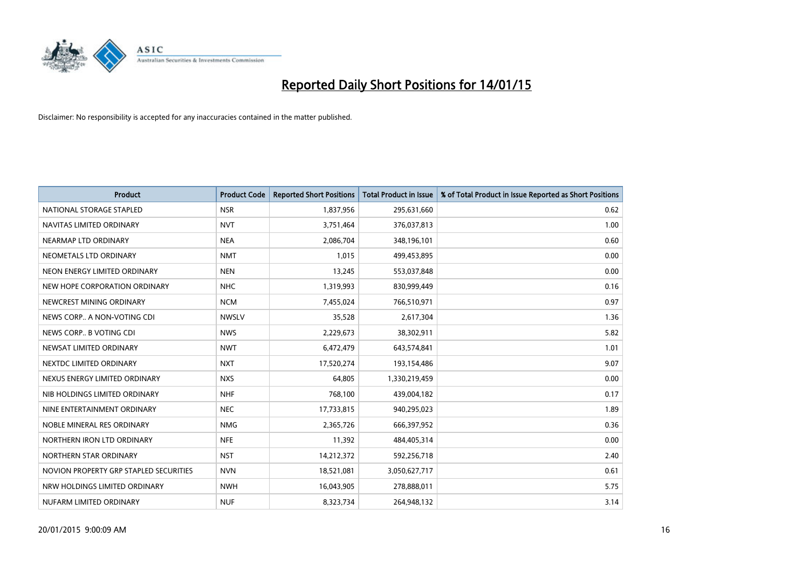

| <b>Product</b>                         | <b>Product Code</b> | <b>Reported Short Positions</b> | <b>Total Product in Issue</b> | % of Total Product in Issue Reported as Short Positions |
|----------------------------------------|---------------------|---------------------------------|-------------------------------|---------------------------------------------------------|
| NATIONAL STORAGE STAPLED               | <b>NSR</b>          | 1,837,956                       | 295,631,660                   | 0.62                                                    |
| NAVITAS LIMITED ORDINARY               | <b>NVT</b>          | 3,751,464                       | 376,037,813                   | 1.00                                                    |
| NEARMAP LTD ORDINARY                   | <b>NEA</b>          | 2,086,704                       | 348,196,101                   | 0.60                                                    |
| NEOMETALS LTD ORDINARY                 | <b>NMT</b>          | 1,015                           | 499,453,895                   | 0.00                                                    |
| NEON ENERGY LIMITED ORDINARY           | <b>NEN</b>          | 13,245                          | 553,037,848                   | 0.00                                                    |
| NEW HOPE CORPORATION ORDINARY          | <b>NHC</b>          | 1,319,993                       | 830,999,449                   | 0.16                                                    |
| NEWCREST MINING ORDINARY               | <b>NCM</b>          | 7,455,024                       | 766,510,971                   | 0.97                                                    |
| NEWS CORP A NON-VOTING CDI             | <b>NWSLV</b>        | 35,528                          | 2,617,304                     | 1.36                                                    |
| NEWS CORP B VOTING CDI                 | <b>NWS</b>          | 2,229,673                       | 38,302,911                    | 5.82                                                    |
| NEWSAT LIMITED ORDINARY                | <b>NWT</b>          | 6,472,479                       | 643,574,841                   | 1.01                                                    |
| NEXTDC LIMITED ORDINARY                | <b>NXT</b>          | 17,520,274                      | 193,154,486                   | 9.07                                                    |
| NEXUS ENERGY LIMITED ORDINARY          | <b>NXS</b>          | 64,805                          | 1,330,219,459                 | 0.00                                                    |
| NIB HOLDINGS LIMITED ORDINARY          | <b>NHF</b>          | 768,100                         | 439,004,182                   | 0.17                                                    |
| NINE ENTERTAINMENT ORDINARY            | <b>NEC</b>          | 17,733,815                      | 940,295,023                   | 1.89                                                    |
| NOBLE MINERAL RES ORDINARY             | <b>NMG</b>          | 2,365,726                       | 666,397,952                   | 0.36                                                    |
| NORTHERN IRON LTD ORDINARY             | <b>NFE</b>          | 11,392                          | 484,405,314                   | 0.00                                                    |
| NORTHERN STAR ORDINARY                 | <b>NST</b>          | 14,212,372                      | 592,256,718                   | 2.40                                                    |
| NOVION PROPERTY GRP STAPLED SECURITIES | <b>NVN</b>          | 18,521,081                      | 3,050,627,717                 | 0.61                                                    |
| NRW HOLDINGS LIMITED ORDINARY          | <b>NWH</b>          | 16,043,905                      | 278,888,011                   | 5.75                                                    |
| NUFARM LIMITED ORDINARY                | <b>NUF</b>          | 8,323,734                       | 264,948,132                   | 3.14                                                    |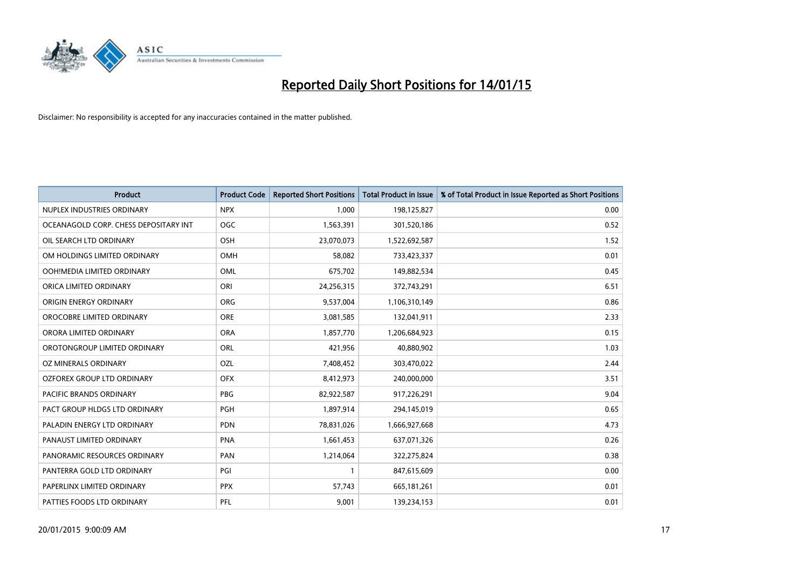

| <b>Product</b>                        | <b>Product Code</b> | <b>Reported Short Positions</b> | <b>Total Product in Issue</b> | % of Total Product in Issue Reported as Short Positions |
|---------------------------------------|---------------------|---------------------------------|-------------------------------|---------------------------------------------------------|
| NUPLEX INDUSTRIES ORDINARY            | <b>NPX</b>          | 1,000                           | 198,125,827                   | 0.00                                                    |
| OCEANAGOLD CORP. CHESS DEPOSITARY INT | <b>OGC</b>          | 1,563,391                       | 301,520,186                   | 0.52                                                    |
| OIL SEARCH LTD ORDINARY               | <b>OSH</b>          | 23,070,073                      | 1,522,692,587                 | 1.52                                                    |
| OM HOLDINGS LIMITED ORDINARY          | OMH                 | 58,082                          | 733,423,337                   | 0.01                                                    |
| OOH!MEDIA LIMITED ORDINARY            | OML                 | 675,702                         | 149,882,534                   | 0.45                                                    |
| ORICA LIMITED ORDINARY                | ORI                 | 24,256,315                      | 372,743,291                   | 6.51                                                    |
| ORIGIN ENERGY ORDINARY                | <b>ORG</b>          | 9,537,004                       | 1,106,310,149                 | 0.86                                                    |
| OROCOBRE LIMITED ORDINARY             | <b>ORE</b>          | 3,081,585                       | 132,041,911                   | 2.33                                                    |
| ORORA LIMITED ORDINARY                | <b>ORA</b>          | 1,857,770                       | 1,206,684,923                 | 0.15                                                    |
| OROTONGROUP LIMITED ORDINARY          | ORL                 | 421,956                         | 40,880,902                    | 1.03                                                    |
| OZ MINERALS ORDINARY                  | OZL                 | 7,408,452                       | 303,470,022                   | 2.44                                                    |
| OZFOREX GROUP LTD ORDINARY            | <b>OFX</b>          | 8,412,973                       | 240,000,000                   | 3.51                                                    |
| PACIFIC BRANDS ORDINARY               | <b>PBG</b>          | 82,922,587                      | 917,226,291                   | 9.04                                                    |
| PACT GROUP HLDGS LTD ORDINARY         | PGH                 | 1,897,914                       | 294,145,019                   | 0.65                                                    |
| PALADIN ENERGY LTD ORDINARY           | <b>PDN</b>          | 78,831,026                      | 1,666,927,668                 | 4.73                                                    |
| PANAUST LIMITED ORDINARY              | <b>PNA</b>          | 1,661,453                       | 637,071,326                   | 0.26                                                    |
| PANORAMIC RESOURCES ORDINARY          | PAN                 | 1,214,064                       | 322,275,824                   | 0.38                                                    |
| PANTERRA GOLD LTD ORDINARY            | PGI                 | 1                               | 847,615,609                   | 0.00                                                    |
| PAPERLINX LIMITED ORDINARY            | <b>PPX</b>          | 57,743                          | 665, 181, 261                 | 0.01                                                    |
| PATTIES FOODS LTD ORDINARY            | PFL                 | 9,001                           | 139,234,153                   | 0.01                                                    |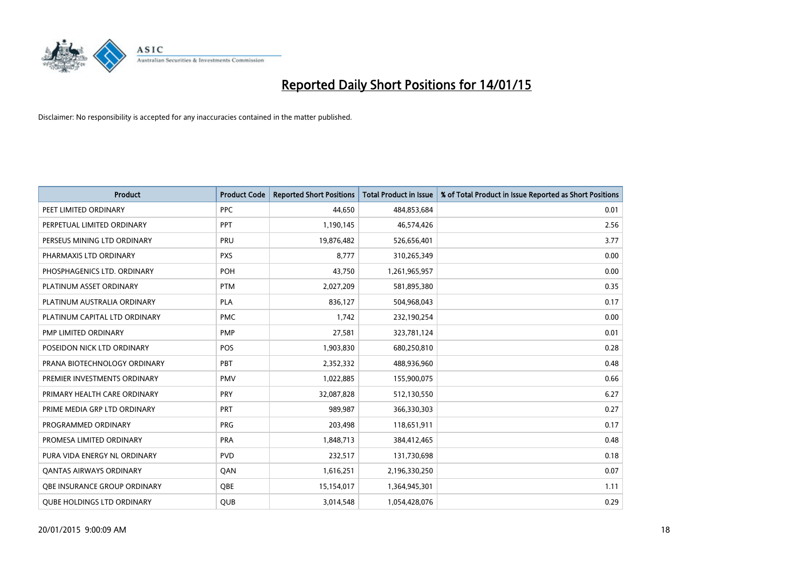

| <b>Product</b>                    | <b>Product Code</b> | <b>Reported Short Positions</b> | <b>Total Product in Issue</b> | % of Total Product in Issue Reported as Short Positions |
|-----------------------------------|---------------------|---------------------------------|-------------------------------|---------------------------------------------------------|
| PEET LIMITED ORDINARY             | <b>PPC</b>          | 44,650                          | 484,853,684                   | 0.01                                                    |
| PERPETUAL LIMITED ORDINARY        | PPT                 | 1,190,145                       | 46,574,426                    | 2.56                                                    |
| PERSEUS MINING LTD ORDINARY       | <b>PRU</b>          | 19,876,482                      | 526,656,401                   | 3.77                                                    |
| PHARMAXIS LTD ORDINARY            | <b>PXS</b>          | 8,777                           | 310,265,349                   | 0.00                                                    |
| PHOSPHAGENICS LTD. ORDINARY       | <b>POH</b>          | 43,750                          | 1,261,965,957                 | 0.00                                                    |
| PLATINUM ASSET ORDINARY           | <b>PTM</b>          | 2,027,209                       | 581,895,380                   | 0.35                                                    |
| PLATINUM AUSTRALIA ORDINARY       | <b>PLA</b>          | 836,127                         | 504,968,043                   | 0.17                                                    |
| PLATINUM CAPITAL LTD ORDINARY     | <b>PMC</b>          | 1,742                           | 232,190,254                   | 0.00                                                    |
| PMP LIMITED ORDINARY              | <b>PMP</b>          | 27,581                          | 323,781,124                   | 0.01                                                    |
| POSEIDON NICK LTD ORDINARY        | <b>POS</b>          | 1,903,830                       | 680,250,810                   | 0.28                                                    |
| PRANA BIOTECHNOLOGY ORDINARY      | PBT                 | 2,352,332                       | 488,936,960                   | 0.48                                                    |
| PREMIER INVESTMENTS ORDINARY      | <b>PMV</b>          | 1,022,885                       | 155,900,075                   | 0.66                                                    |
| PRIMARY HEALTH CARE ORDINARY      | <b>PRY</b>          | 32,087,828                      | 512,130,550                   | 6.27                                                    |
| PRIME MEDIA GRP LTD ORDINARY      | <b>PRT</b>          | 989,987                         | 366,330,303                   | 0.27                                                    |
| PROGRAMMED ORDINARY               | <b>PRG</b>          | 203,498                         | 118,651,911                   | 0.17                                                    |
| PROMESA LIMITED ORDINARY          | <b>PRA</b>          | 1,848,713                       | 384,412,465                   | 0.48                                                    |
| PURA VIDA ENERGY NL ORDINARY      | <b>PVD</b>          | 232,517                         | 131,730,698                   | 0.18                                                    |
| <b>QANTAS AIRWAYS ORDINARY</b>    | QAN                 | 1,616,251                       | 2,196,330,250                 | 0.07                                                    |
| OBE INSURANCE GROUP ORDINARY      | <b>OBE</b>          | 15,154,017                      | 1,364,945,301                 | 1.11                                                    |
| <b>QUBE HOLDINGS LTD ORDINARY</b> | QUB                 | 3,014,548                       | 1,054,428,076                 | 0.29                                                    |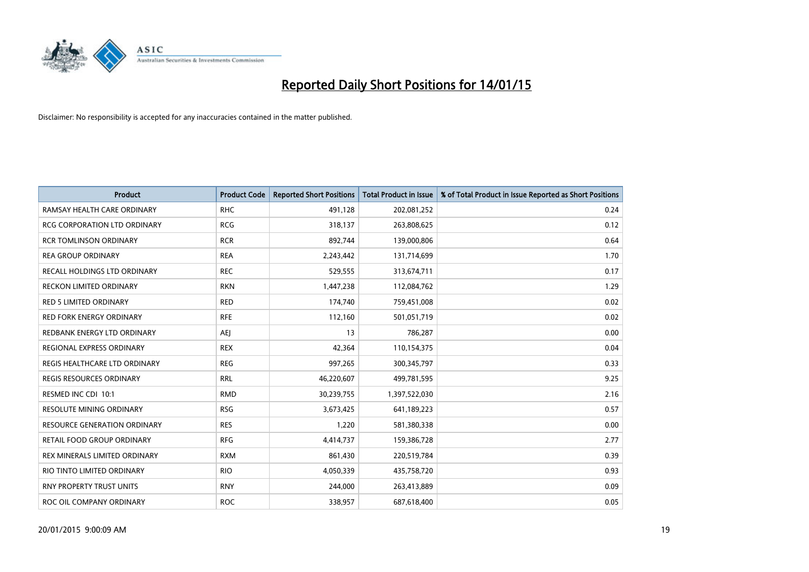

| <b>Product</b>                      | <b>Product Code</b> | <b>Reported Short Positions</b> | <b>Total Product in Issue</b> | % of Total Product in Issue Reported as Short Positions |
|-------------------------------------|---------------------|---------------------------------|-------------------------------|---------------------------------------------------------|
| RAMSAY HEALTH CARE ORDINARY         | <b>RHC</b>          | 491,128                         | 202,081,252                   | 0.24                                                    |
| RCG CORPORATION LTD ORDINARY        | <b>RCG</b>          | 318,137                         | 263,808,625                   | 0.12                                                    |
| <b>RCR TOMLINSON ORDINARY</b>       | <b>RCR</b>          | 892,744                         | 139,000,806                   | 0.64                                                    |
| <b>REA GROUP ORDINARY</b>           | <b>REA</b>          | 2,243,442                       | 131,714,699                   | 1.70                                                    |
| RECALL HOLDINGS LTD ORDINARY        | <b>REC</b>          | 529,555                         | 313,674,711                   | 0.17                                                    |
| <b>RECKON LIMITED ORDINARY</b>      | <b>RKN</b>          | 1,447,238                       | 112,084,762                   | 1.29                                                    |
| <b>RED 5 LIMITED ORDINARY</b>       | <b>RED</b>          | 174,740                         | 759,451,008                   | 0.02                                                    |
| <b>RED FORK ENERGY ORDINARY</b>     | <b>RFE</b>          | 112,160                         | 501,051,719                   | 0.02                                                    |
| REDBANK ENERGY LTD ORDINARY         | AEJ                 | 13                              | 786,287                       | 0.00                                                    |
| REGIONAL EXPRESS ORDINARY           | <b>REX</b>          | 42,364                          | 110,154,375                   | 0.04                                                    |
| REGIS HEALTHCARE LTD ORDINARY       | <b>REG</b>          | 997,265                         | 300,345,797                   | 0.33                                                    |
| REGIS RESOURCES ORDINARY            | <b>RRL</b>          | 46,220,607                      | 499,781,595                   | 9.25                                                    |
| RESMED INC CDI 10:1                 | <b>RMD</b>          | 30,239,755                      | 1,397,522,030                 | 2.16                                                    |
| <b>RESOLUTE MINING ORDINARY</b>     | <b>RSG</b>          | 3,673,425                       | 641,189,223                   | 0.57                                                    |
| <b>RESOURCE GENERATION ORDINARY</b> | <b>RES</b>          | 1,220                           | 581,380,338                   | 0.00                                                    |
| RETAIL FOOD GROUP ORDINARY          | <b>RFG</b>          | 4,414,737                       | 159,386,728                   | 2.77                                                    |
| REX MINERALS LIMITED ORDINARY       | <b>RXM</b>          | 861,430                         | 220,519,784                   | 0.39                                                    |
| RIO TINTO LIMITED ORDINARY          | <b>RIO</b>          | 4,050,339                       | 435,758,720                   | 0.93                                                    |
| <b>RNY PROPERTY TRUST UNITS</b>     | <b>RNY</b>          | 244,000                         | 263,413,889                   | 0.09                                                    |
| ROC OIL COMPANY ORDINARY            | <b>ROC</b>          | 338,957                         | 687,618,400                   | 0.05                                                    |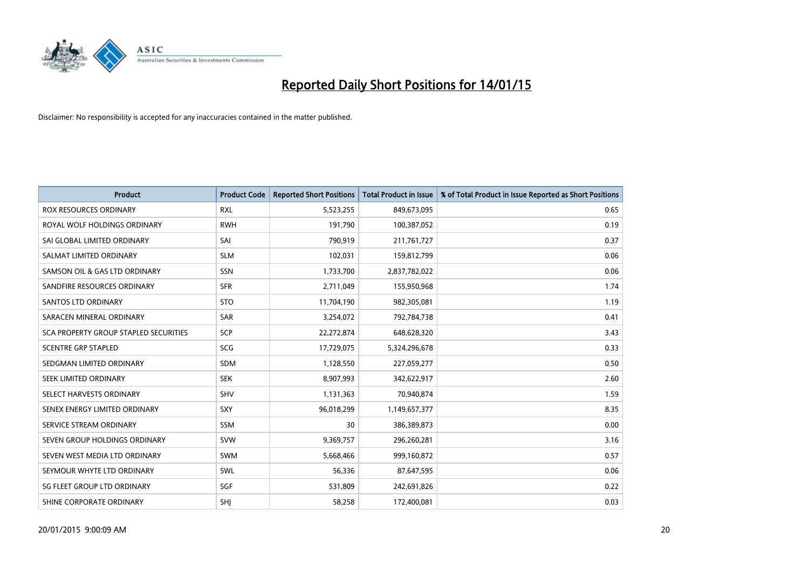

| <b>Product</b>                               | <b>Product Code</b> | <b>Reported Short Positions</b> | <b>Total Product in Issue</b> | % of Total Product in Issue Reported as Short Positions |
|----------------------------------------------|---------------------|---------------------------------|-------------------------------|---------------------------------------------------------|
| <b>ROX RESOURCES ORDINARY</b>                | <b>RXL</b>          | 5,523,255                       | 849,673,095                   | 0.65                                                    |
| ROYAL WOLF HOLDINGS ORDINARY                 | <b>RWH</b>          | 191,790                         | 100,387,052                   | 0.19                                                    |
| SAI GLOBAL LIMITED ORDINARY                  | SAI                 | 790,919                         | 211,761,727                   | 0.37                                                    |
| SALMAT LIMITED ORDINARY                      | <b>SLM</b>          | 102,031                         | 159,812,799                   | 0.06                                                    |
| SAMSON OIL & GAS LTD ORDINARY                | SSN                 | 1,733,700                       | 2,837,782,022                 | 0.06                                                    |
| SANDFIRE RESOURCES ORDINARY                  | <b>SFR</b>          | 2,711,049                       | 155,950,968                   | 1.74                                                    |
| SANTOS LTD ORDINARY                          | <b>STO</b>          | 11,704,190                      | 982,305,081                   | 1.19                                                    |
| SARACEN MINERAL ORDINARY                     | <b>SAR</b>          | 3,254,072                       | 792,784,738                   | 0.41                                                    |
| <b>SCA PROPERTY GROUP STAPLED SECURITIES</b> | <b>SCP</b>          | 22,272,874                      | 648,628,320                   | 3.43                                                    |
| <b>SCENTRE GRP STAPLED</b>                   | SCG                 | 17,729,075                      | 5,324,296,678                 | 0.33                                                    |
| SEDGMAN LIMITED ORDINARY                     | SDM                 | 1,128,550                       | 227,059,277                   | 0.50                                                    |
| SEEK LIMITED ORDINARY                        | <b>SEK</b>          | 8,907,993                       | 342,622,917                   | 2.60                                                    |
| SELECT HARVESTS ORDINARY                     | SHV                 | 1,131,363                       | 70,940,874                    | 1.59                                                    |
| SENEX ENERGY LIMITED ORDINARY                | <b>SXY</b>          | 96,018,299                      | 1,149,657,377                 | 8.35                                                    |
| SERVICE STREAM ORDINARY                      | SSM                 | 30                              | 386,389,873                   | 0.00                                                    |
| SEVEN GROUP HOLDINGS ORDINARY                | <b>SVW</b>          | 9,369,757                       | 296,260,281                   | 3.16                                                    |
| SEVEN WEST MEDIA LTD ORDINARY                | SWM                 | 5,668,466                       | 999,160,872                   | 0.57                                                    |
| SEYMOUR WHYTE LTD ORDINARY                   | SWL                 | 56,336                          | 87,647,595                    | 0.06                                                    |
| SG FLEET GROUP LTD ORDINARY                  | SGF                 | 531,809                         | 242,691,826                   | 0.22                                                    |
| SHINE CORPORATE ORDINARY                     | SHJ                 | 58,258                          | 172,400,081                   | 0.03                                                    |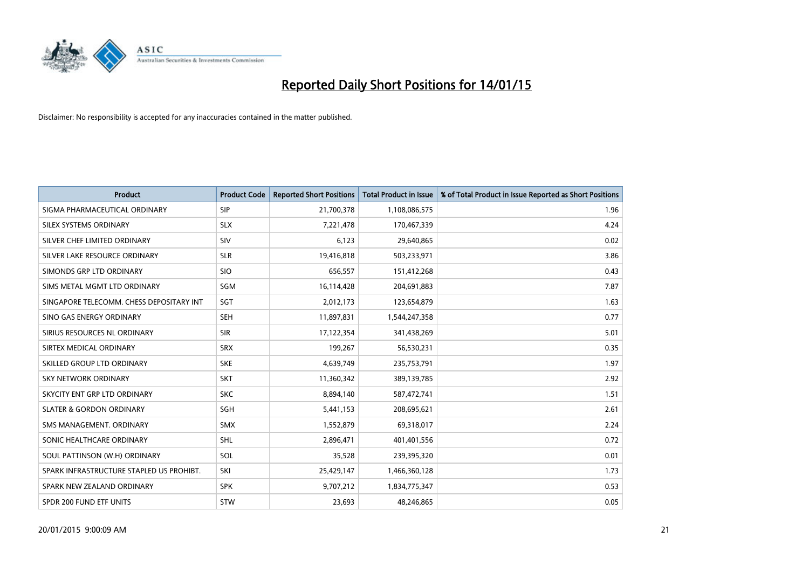

| <b>Product</b>                           | <b>Product Code</b> | <b>Reported Short Positions</b> | <b>Total Product in Issue</b> | % of Total Product in Issue Reported as Short Positions |
|------------------------------------------|---------------------|---------------------------------|-------------------------------|---------------------------------------------------------|
| SIGMA PHARMACEUTICAL ORDINARY            | <b>SIP</b>          | 21,700,378                      | 1,108,086,575                 | 1.96                                                    |
| SILEX SYSTEMS ORDINARY                   | <b>SLX</b>          | 7,221,478                       | 170,467,339                   | 4.24                                                    |
| SILVER CHEF LIMITED ORDINARY             | SIV                 | 6,123                           | 29,640,865                    | 0.02                                                    |
| SILVER LAKE RESOURCE ORDINARY            | <b>SLR</b>          | 19,416,818                      | 503,233,971                   | 3.86                                                    |
| SIMONDS GRP LTD ORDINARY                 | <b>SIO</b>          | 656,557                         | 151,412,268                   | 0.43                                                    |
| SIMS METAL MGMT LTD ORDINARY             | SGM                 | 16,114,428                      | 204,691,883                   | 7.87                                                    |
| SINGAPORE TELECOMM. CHESS DEPOSITARY INT | <b>SGT</b>          | 2,012,173                       | 123,654,879                   | 1.63                                                    |
| SINO GAS ENERGY ORDINARY                 | <b>SEH</b>          | 11,897,831                      | 1,544,247,358                 | 0.77                                                    |
| SIRIUS RESOURCES NL ORDINARY             | <b>SIR</b>          | 17,122,354                      | 341,438,269                   | 5.01                                                    |
| SIRTEX MEDICAL ORDINARY                  | <b>SRX</b>          | 199,267                         | 56,530,231                    | 0.35                                                    |
| SKILLED GROUP LTD ORDINARY               | <b>SKE</b>          | 4,639,749                       | 235,753,791                   | 1.97                                                    |
| <b>SKY NETWORK ORDINARY</b>              | <b>SKT</b>          | 11,360,342                      | 389,139,785                   | 2.92                                                    |
| SKYCITY ENT GRP LTD ORDINARY             | <b>SKC</b>          | 8,894,140                       | 587,472,741                   | 1.51                                                    |
| <b>SLATER &amp; GORDON ORDINARY</b>      | SGH                 | 5,441,153                       | 208,695,621                   | 2.61                                                    |
| SMS MANAGEMENT, ORDINARY                 | <b>SMX</b>          | 1,552,879                       | 69,318,017                    | 2.24                                                    |
| SONIC HEALTHCARE ORDINARY                | <b>SHL</b>          | 2,896,471                       | 401,401,556                   | 0.72                                                    |
| SOUL PATTINSON (W.H) ORDINARY            | SOL                 | 35,528                          | 239,395,320                   | 0.01                                                    |
| SPARK INFRASTRUCTURE STAPLED US PROHIBT. | SKI                 | 25,429,147                      | 1,466,360,128                 | 1.73                                                    |
| SPARK NEW ZEALAND ORDINARY               | <b>SPK</b>          | 9,707,212                       | 1,834,775,347                 | 0.53                                                    |
| SPDR 200 FUND ETF UNITS                  | <b>STW</b>          | 23,693                          | 48,246,865                    | 0.05                                                    |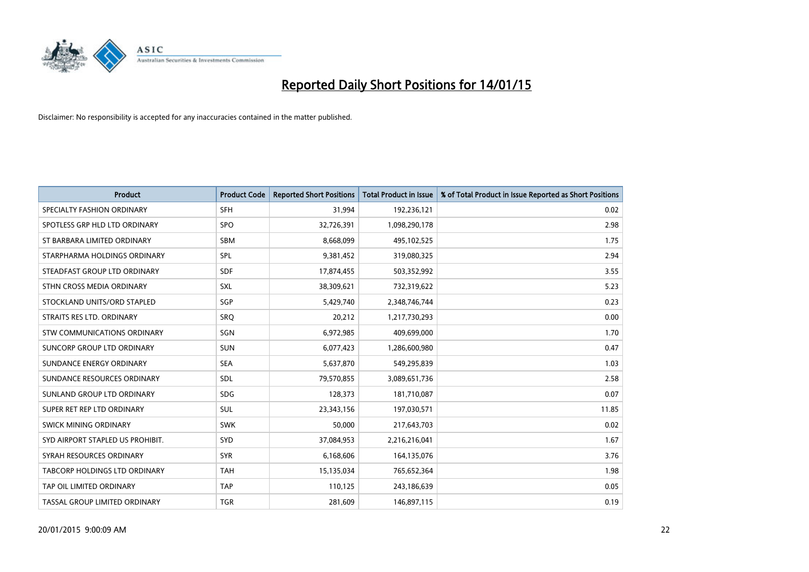

| <b>Product</b>                   | <b>Product Code</b> | <b>Reported Short Positions</b> | <b>Total Product in Issue</b> | % of Total Product in Issue Reported as Short Positions |
|----------------------------------|---------------------|---------------------------------|-------------------------------|---------------------------------------------------------|
| SPECIALTY FASHION ORDINARY       | <b>SFH</b>          | 31,994                          | 192,236,121                   | 0.02                                                    |
| SPOTLESS GRP HLD LTD ORDINARY    | <b>SPO</b>          | 32,726,391                      | 1,098,290,178                 | 2.98                                                    |
| ST BARBARA LIMITED ORDINARY      | <b>SBM</b>          | 8,668,099                       | 495,102,525                   | 1.75                                                    |
| STARPHARMA HOLDINGS ORDINARY     | <b>SPL</b>          | 9,381,452                       | 319,080,325                   | 2.94                                                    |
| STEADFAST GROUP LTD ORDINARY     | <b>SDF</b>          | 17,874,455                      | 503,352,992                   | 3.55                                                    |
| STHN CROSS MEDIA ORDINARY        | <b>SXL</b>          | 38,309,621                      | 732,319,622                   | 5.23                                                    |
| STOCKLAND UNITS/ORD STAPLED      | <b>SGP</b>          | 5,429,740                       | 2,348,746,744                 | 0.23                                                    |
| STRAITS RES LTD. ORDINARY        | SRQ                 | 20,212                          | 1,217,730,293                 | 0.00                                                    |
| STW COMMUNICATIONS ORDINARY      | SGN                 | 6,972,985                       | 409,699,000                   | 1.70                                                    |
| SUNCORP GROUP LTD ORDINARY       | <b>SUN</b>          | 6,077,423                       | 1,286,600,980                 | 0.47                                                    |
| SUNDANCE ENERGY ORDINARY         | <b>SEA</b>          | 5,637,870                       | 549,295,839                   | 1.03                                                    |
| SUNDANCE RESOURCES ORDINARY      | <b>SDL</b>          | 79,570,855                      | 3,089,651,736                 | 2.58                                                    |
| SUNLAND GROUP LTD ORDINARY       | <b>SDG</b>          | 128,373                         | 181,710,087                   | 0.07                                                    |
| SUPER RET REP LTD ORDINARY       | <b>SUL</b>          | 23,343,156                      | 197,030,571                   | 11.85                                                   |
| SWICK MINING ORDINARY            | <b>SWK</b>          | 50,000                          | 217,643,703                   | 0.02                                                    |
| SYD AIRPORT STAPLED US PROHIBIT. | <b>SYD</b>          | 37,084,953                      | 2,216,216,041                 | 1.67                                                    |
| SYRAH RESOURCES ORDINARY         | <b>SYR</b>          | 6,168,606                       | 164,135,076                   | 3.76                                                    |
| TABCORP HOLDINGS LTD ORDINARY    | <b>TAH</b>          | 15,135,034                      | 765,652,364                   | 1.98                                                    |
| TAP OIL LIMITED ORDINARY         | <b>TAP</b>          | 110,125                         | 243,186,639                   | 0.05                                                    |
| TASSAL GROUP LIMITED ORDINARY    | <b>TGR</b>          | 281,609                         | 146,897,115                   | 0.19                                                    |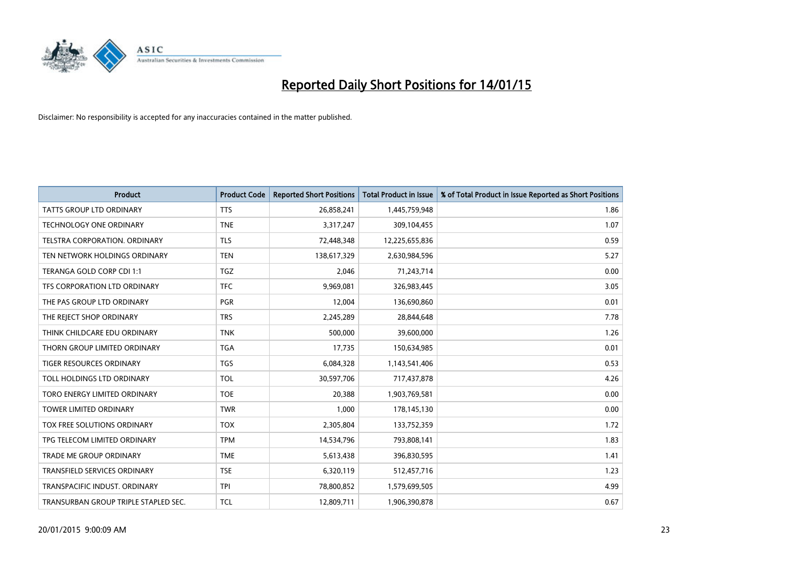

| <b>Product</b>                       | <b>Product Code</b> | <b>Reported Short Positions</b> | <b>Total Product in Issue</b> | % of Total Product in Issue Reported as Short Positions |
|--------------------------------------|---------------------|---------------------------------|-------------------------------|---------------------------------------------------------|
| <b>TATTS GROUP LTD ORDINARY</b>      | <b>TTS</b>          | 26,858,241                      | 1,445,759,948                 | 1.86                                                    |
| <b>TECHNOLOGY ONE ORDINARY</b>       | <b>TNE</b>          | 3,317,247                       | 309,104,455                   | 1.07                                                    |
| <b>TELSTRA CORPORATION, ORDINARY</b> | <b>TLS</b>          | 72,448,348                      | 12,225,655,836                | 0.59                                                    |
| TEN NETWORK HOLDINGS ORDINARY        | <b>TEN</b>          | 138,617,329                     | 2,630,984,596                 | 5.27                                                    |
| TERANGA GOLD CORP CDI 1:1            | <b>TGZ</b>          | 2,046                           | 71,243,714                    | 0.00                                                    |
| TFS CORPORATION LTD ORDINARY         | <b>TFC</b>          | 9,969,081                       | 326,983,445                   | 3.05                                                    |
| THE PAS GROUP LTD ORDINARY           | <b>PGR</b>          | 12,004                          | 136,690,860                   | 0.01                                                    |
| THE REJECT SHOP ORDINARY             | <b>TRS</b>          | 2,245,289                       | 28,844,648                    | 7.78                                                    |
| THINK CHILDCARE EDU ORDINARY         | <b>TNK</b>          | 500,000                         | 39,600,000                    | 1.26                                                    |
| THORN GROUP LIMITED ORDINARY         | <b>TGA</b>          | 17,735                          | 150,634,985                   | 0.01                                                    |
| TIGER RESOURCES ORDINARY             | <b>TGS</b>          | 6,084,328                       | 1,143,541,406                 | 0.53                                                    |
| TOLL HOLDINGS LTD ORDINARY           | <b>TOL</b>          | 30,597,706                      | 717,437,878                   | 4.26                                                    |
| TORO ENERGY LIMITED ORDINARY         | <b>TOE</b>          | 20,388                          | 1,903,769,581                 | 0.00                                                    |
| <b>TOWER LIMITED ORDINARY</b>        | <b>TWR</b>          | 1.000                           | 178,145,130                   | 0.00                                                    |
| TOX FREE SOLUTIONS ORDINARY          | <b>TOX</b>          | 2,305,804                       | 133,752,359                   | 1.72                                                    |
| TPG TELECOM LIMITED ORDINARY         | <b>TPM</b>          | 14,534,796                      | 793,808,141                   | 1.83                                                    |
| <b>TRADE ME GROUP ORDINARY</b>       | <b>TME</b>          | 5,613,438                       | 396,830,595                   | 1.41                                                    |
| TRANSFIELD SERVICES ORDINARY         | <b>TSE</b>          | 6,320,119                       | 512,457,716                   | 1.23                                                    |
| TRANSPACIFIC INDUST, ORDINARY        | <b>TPI</b>          | 78,800,852                      | 1,579,699,505                 | 4.99                                                    |
| TRANSURBAN GROUP TRIPLE STAPLED SEC. | <b>TCL</b>          | 12,809,711                      | 1,906,390,878                 | 0.67                                                    |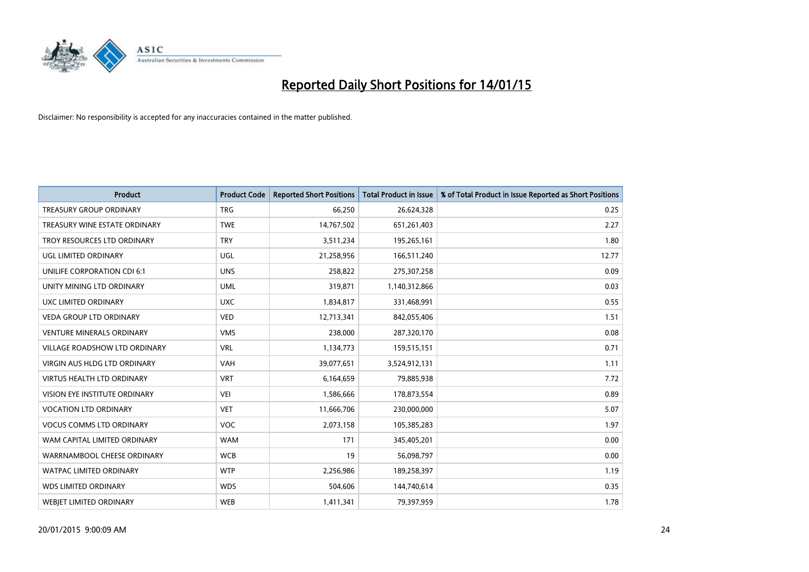

| <b>Product</b>                    | <b>Product Code</b> | <b>Reported Short Positions</b> | <b>Total Product in Issue</b> | % of Total Product in Issue Reported as Short Positions |
|-----------------------------------|---------------------|---------------------------------|-------------------------------|---------------------------------------------------------|
| <b>TREASURY GROUP ORDINARY</b>    | <b>TRG</b>          | 66,250                          | 26,624,328                    | 0.25                                                    |
| TREASURY WINE ESTATE ORDINARY     | <b>TWE</b>          | 14,767,502                      | 651,261,403                   | 2.27                                                    |
| TROY RESOURCES LTD ORDINARY       | <b>TRY</b>          | 3,511,234                       | 195,265,161                   | 1.80                                                    |
| UGL LIMITED ORDINARY              | UGL                 | 21,258,956                      | 166,511,240                   | 12.77                                                   |
| UNILIFE CORPORATION CDI 6:1       | <b>UNS</b>          | 258,822                         | 275,307,258                   | 0.09                                                    |
| UNITY MINING LTD ORDINARY         | <b>UML</b>          | 319,871                         | 1,140,312,866                 | 0.03                                                    |
| UXC LIMITED ORDINARY              | <b>UXC</b>          | 1,834,817                       | 331,468,991                   | 0.55                                                    |
| <b>VEDA GROUP LTD ORDINARY</b>    | <b>VED</b>          | 12,713,341                      | 842,055,406                   | 1.51                                                    |
| VENTURE MINERALS ORDINARY         | <b>VMS</b>          | 238,000                         | 287,320,170                   | 0.08                                                    |
| VILLAGE ROADSHOW LTD ORDINARY     | <b>VRL</b>          | 1,134,773                       | 159,515,151                   | 0.71                                                    |
| VIRGIN AUS HLDG LTD ORDINARY      | <b>VAH</b>          | 39,077,651                      | 3,524,912,131                 | 1.11                                                    |
| <b>VIRTUS HEALTH LTD ORDINARY</b> | <b>VRT</b>          | 6,164,659                       | 79,885,938                    | 7.72                                                    |
| VISION EYE INSTITUTE ORDINARY     | <b>VEI</b>          | 1,586,666                       | 178,873,554                   | 0.89                                                    |
| <b>VOCATION LTD ORDINARY</b>      | <b>VET</b>          | 11,666,706                      | 230,000,000                   | 5.07                                                    |
| <b>VOCUS COMMS LTD ORDINARY</b>   | <b>VOC</b>          | 2,073,158                       | 105,385,283                   | 1.97                                                    |
| WAM CAPITAL LIMITED ORDINARY      | <b>WAM</b>          | 171                             | 345,405,201                   | 0.00                                                    |
| WARRNAMBOOL CHEESE ORDINARY       | <b>WCB</b>          | 19                              | 56,098,797                    | 0.00                                                    |
| WATPAC LIMITED ORDINARY           | <b>WTP</b>          | 2,256,986                       | 189,258,397                   | 1.19                                                    |
| <b>WDS LIMITED ORDINARY</b>       | <b>WDS</b>          | 504,606                         | 144,740,614                   | 0.35                                                    |
| <b>WEBJET LIMITED ORDINARY</b>    | <b>WEB</b>          | 1,411,341                       | 79,397,959                    | 1.78                                                    |